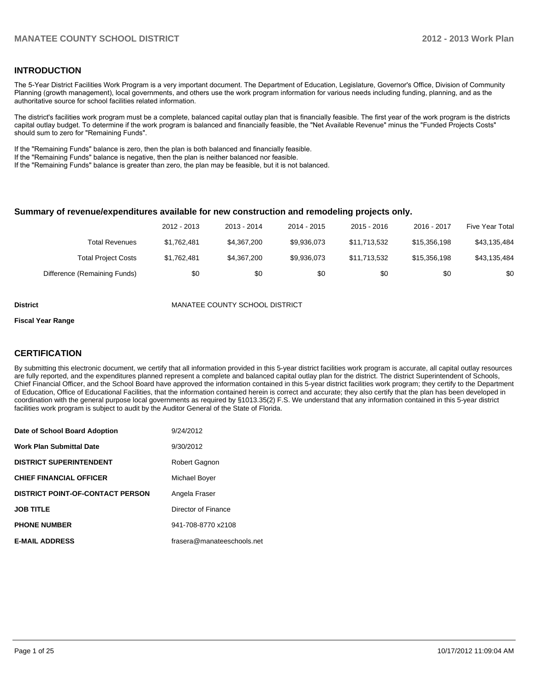## **INTRODUCTION**

The 5-Year District Facilities Work Program is a very important document. The Department of Education, Legislature, Governor's Office, Division of Community Planning (growth management), local governments, and others use the work program information for various needs including funding, planning, and as the authoritative source for school facilities related information.

The district's facilities work program must be a complete, balanced capital outlay plan that is financially feasible. The first year of the work program is the districts capital outlay budget. To determine if the work program is balanced and financially feasible, the "Net Available Revenue" minus the "Funded Projects Costs" should sum to zero for "Remaining Funds".

If the "Remaining Funds" balance is zero, then the plan is both balanced and financially feasible.

If the "Remaining Funds" balance is negative, then the plan is neither balanced nor feasible.

If the "Remaining Funds" balance is greater than zero, the plan may be feasible, but it is not balanced.

#### **Summary of revenue/expenditures available for new construction and remodeling projects only.**

|                              | 2012 - 2013 | 2013 - 2014 | 2014 - 2015 | $2015 - 2016$ | 2016 - 2017  | <b>Five Year Total</b> |
|------------------------------|-------------|-------------|-------------|---------------|--------------|------------------------|
| Total Revenues               | \$1.762.481 | \$4,367,200 | \$9.936.073 | \$11.713.532  | \$15,356,198 | \$43,135,484           |
| <b>Total Project Costs</b>   | \$1,762,481 | \$4.367.200 | \$9.936.073 | \$11.713.532  | \$15,356,198 | \$43,135,484           |
| Difference (Remaining Funds) | \$0         | \$0         | \$0         | \$0           | \$0          | \$0                    |

**District** MANATEE COUNTY SCHOOL DISTRICT

#### **Fiscal Year Range**

## **CERTIFICATION**

By submitting this electronic document, we certify that all information provided in this 5-year district facilities work program is accurate, all capital outlay resources are fully reported, and the expenditures planned represent a complete and balanced capital outlay plan for the district. The district Superintendent of Schools, Chief Financial Officer, and the School Board have approved the information contained in this 5-year district facilities work program; they certify to the Department of Education, Office of Educational Facilities, that the information contained herein is correct and accurate; they also certify that the plan has been developed in coordination with the general purpose local governments as required by §1013.35(2) F.S. We understand that any information contained in this 5-year district facilities work program is subject to audit by the Auditor General of the State of Florida.

| Date of School Board Adoption           | 9/24/2012                  |
|-----------------------------------------|----------------------------|
| <b>Work Plan Submittal Date</b>         | 9/30/2012                  |
| <b>DISTRICT SUPERINTENDENT</b>          | Robert Gagnon              |
| <b>CHIEF FINANCIAL OFFICER</b>          | Michael Boyer              |
| <b>DISTRICT POINT-OF-CONTACT PERSON</b> | Angela Fraser              |
| <b>JOB TITLE</b>                        | Director of Finance        |
| <b>PHONE NUMBER</b>                     | 941-708-8770 x2108         |
| <b>E-MAIL ADDRESS</b>                   | frasera@manateeschools.net |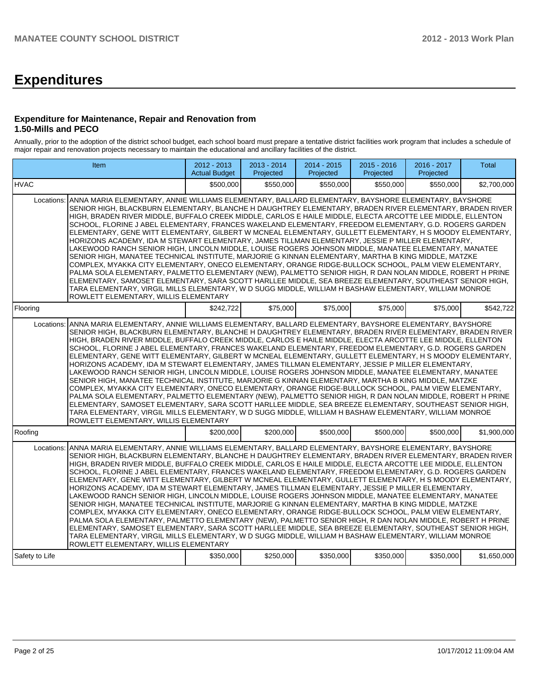# **Expenditures**

## **Expenditure for Maintenance, Repair and Renovation from 1.50-Mills and PECO**

Annually, prior to the adoption of the district school budget, each school board must prepare a tentative district facilities work program that includes a schedule of major repair and renovation projects necessary to maintain the educational and ancillary facilities of the district.

|                | Item                                                                                                                                                                                                                                                                                                                                                                                                                                                                                                                                                                                                                                                                                                                                                                                                                                                                                                                                                                                                                                                                                                                                                                                                                                                                                                                                                                        | 2012 - 2013<br><b>Actual Budget</b> | 2013 - 2014<br>Projected | 2014 - 2015<br>Projected | $2015 - 2016$<br>Projected | 2016 - 2017<br>Projected | Total       |
|----------------|-----------------------------------------------------------------------------------------------------------------------------------------------------------------------------------------------------------------------------------------------------------------------------------------------------------------------------------------------------------------------------------------------------------------------------------------------------------------------------------------------------------------------------------------------------------------------------------------------------------------------------------------------------------------------------------------------------------------------------------------------------------------------------------------------------------------------------------------------------------------------------------------------------------------------------------------------------------------------------------------------------------------------------------------------------------------------------------------------------------------------------------------------------------------------------------------------------------------------------------------------------------------------------------------------------------------------------------------------------------------------------|-------------------------------------|--------------------------|--------------------------|----------------------------|--------------------------|-------------|
| <b>HVAC</b>    |                                                                                                                                                                                                                                                                                                                                                                                                                                                                                                                                                                                                                                                                                                                                                                                                                                                                                                                                                                                                                                                                                                                                                                                                                                                                                                                                                                             | \$500,000                           | \$550,000                | \$550,000                | \$550.000                  | \$550,000                | \$2,700,000 |
| Locations:     | ANNA MARIA ELEMENTARY, ANNIE WILLIAMS ELEMENTARY, BALLARD ELEMENTARY, BAYSHORE ELEMENTARY, BAYSHORE<br>SENIOR HIGH, BLACKBURN ELEMENTARY, BLANCHE H DAUGHTREY ELEMENTARY, BRADEN RIVER ELEMENTARY, BRADEN RIVER<br>HIGH, BRADEN RIVER MIDDLE, BUFFALO CREEK MIDDLE, CARLOS E HAILE MIDDLE, ELECTA ARCOTTE LEE MIDDLE, ELLENTON<br>SCHOOL, FLORINE J ABEL ELEMENTARY, FRANCES WAKELAND ELEMENTARY, FREEDOM ELEMENTARY, G.D. ROGERS GARDEN<br>ELEMENTARY, GENE WITT ELEMENTARY, GILBERT W MCNEAL ELEMENTARY, GULLETT ELEMENTARY, H S MOODY ELEMENTARY,<br>HORIZONS ACADEMY, IDA M STEWART ELEMENTARY, JAMES TILLMAN ELEMENTARY, JESSIE P MILLER ELEMENTARY,<br>LAKEWOOD RANCH SENIOR HIGH, LINCOLN MIDDLE, LOUISE ROGERS JOHNSON MIDDLE, MANATEE ELEMENTARY, MANATEE<br>SENIOR HIGH, MANATEE TECHNICAL INSTITUTE, MARJORIE G KINNAN ELEMENTARY, MARTHA B KING MIDDLE, MATZKE<br>COMPLEX, MYAKKA CITY ELEMENTARY, ONECO ELEMENTARY, ORANGE RIDGE-BULLOCK SCHOOL, PALM VIEW ELEMENTARY,<br>PALMA SOLA ELEMENTARY, PALMETTO ELEMENTARY (NEW), PALMETTO SENIOR HIGH, R DAN NOLAN MIDDLE, ROBERT H PRINE<br>ELEMENTARY, SAMOSET ELEMENTARY, SARA SCOTT HARLLEE MIDDLE, SEA BREEZE ELEMENTARY, SOUTHEAST SENIOR HIGH,<br>TARA ELEMENTARY, VIRGIL MILLS ELEMENTARY, W D SUGG MIDDLE, WILLIAM H BASHAW ELEMENTARY, WILLIAM MONROE<br>ROWLETT ELEMENTARY, WILLIS ELEMENTARY            |                                     |                          |                          |                            |                          |             |
| Flooring       |                                                                                                                                                                                                                                                                                                                                                                                                                                                                                                                                                                                                                                                                                                                                                                                                                                                                                                                                                                                                                                                                                                                                                                                                                                                                                                                                                                             | \$242,722                           | \$75,000                 | \$75,000                 | \$75,000                   | \$75,000                 | \$542,722   |
|                | Locations: ANNA MARIA ELEMENTARY, ANNIE WILLIAMS ELEMENTARY, BALLARD ELEMENTARY, BAYSHORE ELEMENTARY, BAYSHORE<br>SENIOR HIGH, BLACKBURN ELEMENTARY, BLANCHE H DAUGHTREY ELEMENTARY, BRADEN RIVER ELEMENTARY, BRADEN RIVER<br>HIGH, BRADEN RIVER MIDDLE, BUFFALO CREEK MIDDLE, CARLOS E HAILE MIDDLE, ELECTA ARCOTTE LEE MIDDLE, ELLENTON<br>SCHOOL, FLORINE J ABEL ELEMENTARY, FRANCES WAKELAND ELEMENTARY, FREEDOM ELEMENTARY, G.D. ROGERS GARDEN<br>ELEMENTARY, GENE WITT ELEMENTARY, GILBERT W MCNEAL ELEMENTARY, GULLETT ELEMENTARY, H S MOODY ELEMENTARY,<br>HORIZONS ACADEMY, IDA M STEWART ELEMENTARY, JAMES TILLMAN ELEMENTARY, JESSIE P MILLER ELEMENTARY,<br>LAKEWOOD RANCH SENIOR HIGH, LINCOLN MIDDLE, LOUISE ROGERS JOHNSON MIDDLE, MANATEE ELEMENTARY, MANATEE<br>SENIOR HIGH, MANATEE TECHNICAL INSTITUTE, MARJORIE G KINNAN ELEMENTARY, MARTHA B KING MIDDLE, MATZKE<br>COMPLEX, MYAKKA CITY ELEMENTARY, ONECO ELEMENTARY, ORANGE RIDGE-BULLOCK SCHOOL, PALM VIEW ELEMENTARY,<br>PALMA SOLA ELEMENTARY, PALMETTO ELEMENTARY (NEW), PALMETTO SENIOR HIGH, R DAN NOLAN MIDDLE, ROBERT H PRINE<br>ELEMENTARY, SAMOSET ELEMENTARY, SARA SCOTT HARLLEE MIDDLE, SEA BREEZE ELEMENTARY, SOUTHEAST SENIOR HIGH,<br>TARA ELEMENTARY, VIRGIL MILLS ELEMENTARY, W D SUGG MIDDLE, WILLIAM H BASHAW ELEMENTARY, WILLIAM MONROE<br>ROWLETT ELEMENTARY, WILLIS ELEMENTARY |                                     |                          |                          |                            |                          |             |
| Roofing        |                                                                                                                                                                                                                                                                                                                                                                                                                                                                                                                                                                                                                                                                                                                                                                                                                                                                                                                                                                                                                                                                                                                                                                                                                                                                                                                                                                             | \$200,000                           | \$200,000                | \$500,000                | \$500,000                  | \$500,000                | \$1,900,000 |
| Locations:     | ANNA MARIA ELEMENTARY, ANNIE WILLIAMS ELEMENTARY, BALLARD ELEMENTARY, BAYSHORE ELEMENTARY, BAYSHORE<br>SENIOR HIGH, BLACKBURN ELEMENTARY, BLANCHE H DAUGHTREY ELEMENTARY, BRADEN RIVER ELEMENTARY, BRADEN RIVER<br>HIGH, BRADEN RIVER MIDDLE, BUFFALO CREEK MIDDLE, CARLOS E HAILE MIDDLE, ELECTA ARCOTTE LEE MIDDLE, ELLENTON<br>SCHOOL, FLORINE J ABEL ELEMENTARY, FRANCES WAKELAND ELEMENTARY, FREEDOM ELEMENTARY, G.D. ROGERS GARDEN<br>ELEMENTARY, GENE WITT ELEMENTARY, GILBERT W MCNEAL ELEMENTARY, GULLETT ELEMENTARY, H S MOODY ELEMENTARY,<br>HORIZONS ACADEMY, IDA M STEWART ELEMENTARY, JAMES TILLMAN ELEMENTARY, JESSIE P MILLER ELEMENTARY,<br>LAKEWOOD RANCH SENIOR HIGH, LINCOLN MIDDLE, LOUISE ROGERS JOHNSON MIDDLE, MANATEE ELEMENTARY, MANATEE<br>SENIOR HIGH, MANATEE TECHNICAL INSTITUTE, MARJORIE G KINNAN ELEMENTARY, MARTHA B KING MIDDLE, MATZKE<br>COMPLEX, MYAKKA CITY ELEMENTARY, ONECO ELEMENTARY, ORANGE RIDGE-BULLOCK SCHOOL, PALM VIEW ELEMENTARY,<br>PALMA SOLA ELEMENTARY, PALMETTO ELEMENTARY (NEW), PALMETTO SENIOR HIGH, R DAN NOLAN MIDDLE, ROBERT H PRINE<br>ELEMENTARY, SAMOSET ELEMENTARY, SARA SCOTT HARLLEE MIDDLE, SEA BREEZE ELEMENTARY, SOUTHEAST SENIOR HIGH,<br>TARA ELEMENTARY, VIRGIL MILLS ELEMENTARY, W D SUGG MIDDLE, WILLIAM H BASHAW ELEMENTARY, WILLIAM MONROE<br>ROWLETT ELEMENTARY, WILLIS ELEMENTARY            |                                     |                          |                          |                            |                          |             |
| Safety to Life |                                                                                                                                                                                                                                                                                                                                                                                                                                                                                                                                                                                                                                                                                                                                                                                                                                                                                                                                                                                                                                                                                                                                                                                                                                                                                                                                                                             | \$350,000                           | \$250,000                | \$350,000                | \$350,000                  | \$350,000                | \$1,650,000 |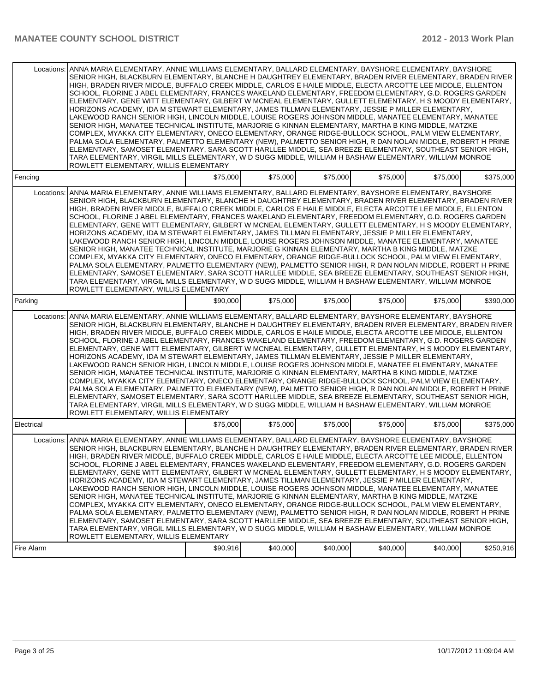| Locations: | ANNA MARIA ELEMENTARY, ANNIE WILLIAMS ELEMENTARY, BALLARD ELEMENTARY, BAYSHORE ELEMENTARY, BAYSHORE<br>SENIOR HIGH, BLACKBURN ELEMENTARY, BLANCHE H DAUGHTREY ELEMENTARY, BRADEN RIVER ELEMENTARY, BRADEN RIVER<br>HIGH, BRADEN RIVER MIDDLE, BUFFALO CREEK MIDDLE, CARLOS E HAILE MIDDLE, ELECTA ARCOTTE LEE MIDDLE, ELLENTON<br>SCHOOL, FLORINE J ABEL ELEMENTARY, FRANCES WAKELAND ELEMENTARY, FREEDOM ELEMENTARY, G.D. ROGERS GARDEN<br>ELEMENTARY, GENE WITT ELEMENTARY, GILBERT W MCNEAL ELEMENTARY, GULLETT ELEMENTARY, H S MOODY ELEMENTARY,<br>HORIZONS ACADEMY, IDA M STEWART ELEMENTARY, JAMES TILLMAN ELEMENTARY, JESSIE P MILLER ELEMENTARY,<br>LAKEWOOD RANCH SENIOR HIGH, LINCOLN MIDDLE, LOUISE ROGERS JOHNSON MIDDLE, MANATEE ELEMENTARY, MANATEE<br>SENIOR HIGH. MANATEE TECHNICAL INSTITUTE. MARJORIE G KINNAN ELEMENTARY. MARTHA B KING MIDDLE. MATZKE<br>COMPLEX, MYAKKA CITY ELEMENTARY, ONECO ELEMENTARY, ORANGE RIDGE-BULLOCK SCHOOL, PALM VIEW ELEMENTARY,<br>PALMA SOLA ELEMENTARY, PALMETTO ELEMENTARY (NEW), PALMETTO SENIOR HIGH, R DAN NOLAN MIDDLE, ROBERT H PRINE<br>ELEMENTARY, SAMOSET ELEMENTARY, SARA SCOTT HARLLEE MIDDLE, SEA BREEZE ELEMENTARY, SOUTHEAST SENIOR HIGH,<br>TARA ELEMENTARY, VIRGIL MILLS ELEMENTARY, W D SUGG MIDDLE, WILLIAM H BASHAW ELEMENTARY, WILLIAM MONROE<br>ROWLETT ELEMENTARY, WILLIS ELEMENTARY |          |          |          |          |          |           |
|------------|------------------------------------------------------------------------------------------------------------------------------------------------------------------------------------------------------------------------------------------------------------------------------------------------------------------------------------------------------------------------------------------------------------------------------------------------------------------------------------------------------------------------------------------------------------------------------------------------------------------------------------------------------------------------------------------------------------------------------------------------------------------------------------------------------------------------------------------------------------------------------------------------------------------------------------------------------------------------------------------------------------------------------------------------------------------------------------------------------------------------------------------------------------------------------------------------------------------------------------------------------------------------------------------------------------------------------------------------------------------|----------|----------|----------|----------|----------|-----------|
| Fencing    |                                                                                                                                                                                                                                                                                                                                                                                                                                                                                                                                                                                                                                                                                                                                                                                                                                                                                                                                                                                                                                                                                                                                                                                                                                                                                                                                                                  | \$75,000 | \$75,000 | \$75,000 | \$75,000 | \$75,000 | \$375.000 |
| Locations: | ANNA MARIA ELEMENTARY, ANNIE WILLIAMS ELEMENTARY, BALLARD ELEMENTARY, BAYSHORE ELEMENTARY, BAYSHORE<br>SENIOR HIGH, BLACKBURN ELEMENTARY, BLANCHE H DAUGHTREY ELEMENTARY, BRADEN RIVER ELEMENTARY, BRADEN RIVER<br>HIGH, BRADEN RIVER MIDDLE, BUFFALO CREEK MIDDLE, CARLOS E HAILE MIDDLE, ELECTA ARCOTTE LEE MIDDLE, ELLENTON<br>SCHOOL, FLORINE J ABEL ELEMENTARY, FRANCES WAKELAND ELEMENTARY, FREEDOM ELEMENTARY, G.D. ROGERS GARDEN<br>ELEMENTARY, GENE WITT ELEMENTARY, GILBERT W MCNEAL ELEMENTARY, GULLETT ELEMENTARY, H S MOODY ELEMENTARY,<br>HORIZONS ACADEMY, IDA M STEWART ELEMENTARY, JAMES TILLMAN ELEMENTARY, JESSIE P MILLER ELEMENTARY,<br>LAKEWOOD RANCH SENIOR HIGH, LINCOLN MIDDLE, LOUISE ROGERS JOHNSON MIDDLE, MANATEE ELEMENTARY, MANATEE<br>SENIOR HIGH, MANATEE TECHNICAL INSTITUTE, MARJORIE G KINNAN ELEMENTARY, MARTHA B KING MIDDLE, MATZKE<br>COMPLEX, MYAKKA CITY ELEMENTARY, ONECO ELEMENTARY, ORANGE RIDGE-BULLOCK SCHOOL, PALM VIEW ELEMENTARY,<br>PALMA SOLA ELEMENTARY, PALMETTO ELEMENTARY (NEW), PALMETTO SENIOR HIGH, R DAN NOLAN MIDDLE, ROBERT H PRINE<br>ELEMENTARY, SAMOSET ELEMENTARY, SARA SCOTT HARLLEE MIDDLE, SEA BREEZE ELEMENTARY, SOUTHEAST SENIOR HIGH,<br>TARA ELEMENTARY, VIRGIL MILLS ELEMENTARY, W D SUGG MIDDLE, WILLIAM H BASHAW ELEMENTARY, WILLIAM MONROE<br>ROWLETT ELEMENTARY, WILLIS ELEMENTARY |          |          |          |          |          |           |
| Parking    |                                                                                                                                                                                                                                                                                                                                                                                                                                                                                                                                                                                                                                                                                                                                                                                                                                                                                                                                                                                                                                                                                                                                                                                                                                                                                                                                                                  | \$90,000 | \$75,000 | \$75,000 | \$75,000 | \$75,000 | \$390.000 |
| Locations: | ANNA MARIA ELEMENTARY, ANNIE WILLIAMS ELEMENTARY, BALLARD ELEMENTARY, BAYSHORE ELEMENTARY, BAYSHORE<br>SENIOR HIGH, BLACKBURN ELEMENTARY, BLANCHE H DAUGHTREY ELEMENTARY, BRADEN RIVER ELEMENTARY, BRADEN RIVER<br>HIGH, BRADEN RIVER MIDDLE, BUFFALO CREEK MIDDLE, CARLOS E HAILE MIDDLE, ELECTA ARCOTTE LEE MIDDLE, ELLENTON<br>SCHOOL, FLORINE J ABEL ELEMENTARY, FRANCES WAKELAND ELEMENTARY, FREEDOM ELEMENTARY, G.D. ROGERS GARDEN<br>ELEMENTARY, GENE WITT ELEMENTARY, GILBERT W MCNEAL ELEMENTARY, GULLETT ELEMENTARY, H S MOODY ELEMENTARY,<br>HORIZONS ACADEMY, IDA M STEWART ELEMENTARY, JAMES TILLMAN ELEMENTARY, JESSIE P MILLER ELEMENTARY,<br>LAKEWOOD RANCH SENIOR HIGH, LINCOLN MIDDLE, LOUISE ROGERS JOHNSON MIDDLE, MANATEE ELEMENTARY, MANATEE<br>SENIOR HIGH, MANATEE TECHNICAL INSTITUTE, MARJORIE G KINNAN ELEMENTARY, MARTHA B KING MIDDLE, MATZKE<br>COMPLEX, MYAKKA CITY ELEMENTARY, ONECO ELEMENTARY, ORANGE RIDGE-BULLOCK SCHOOL, PALM VIEW ELEMENTARY,<br>PALMA SOLA ELEMENTARY, PALMETTO ELEMENTARY (NEW), PALMETTO SENIOR HIGH, R DAN NOLAN MIDDLE, ROBERT H PRINE<br>ELEMENTARY, SAMOSET ELEMENTARY, SARA SCOTT HARLLEE MIDDLE, SEA BREEZE ELEMENTARY, SOUTHEAST SENIOR HIGH,<br>TARA ELEMENTARY, VIRGIL MILLS ELEMENTARY, W D SUGG MIDDLE, WILLIAM H BASHAW ELEMENTARY, WILLIAM MONROE<br>ROWLETT ELEMENTARY, WILLIS ELEMENTARY |          |          |          |          |          |           |
| Electrical |                                                                                                                                                                                                                                                                                                                                                                                                                                                                                                                                                                                                                                                                                                                                                                                                                                                                                                                                                                                                                                                                                                                                                                                                                                                                                                                                                                  | \$75,000 | \$75,000 | \$75,000 | \$75,000 | \$75,000 | \$375,000 |
| Locations: | ANNA MARIA ELEMENTARY, ANNIE WILLIAMS ELEMENTARY, BALLARD ELEMENTARY, BAYSHORE ELEMENTARY, BAYSHORE<br>SENIOR HIGH, BLACKBURN ELEMENTARY, BLANCHE H DAUGHTREY ELEMENTARY, BRADEN RIVER ELEMENTARY, BRADEN RIVER<br>HIGH, BRADEN RIVER MIDDLE, BUFFALO CREEK MIDDLE, CARLOS E HAILE MIDDLE, ELECTA ARCOTTE LEE MIDDLE, ELLENTON<br>SCHOOL, FLORINE J ABEL ELEMENTARY, FRANCES WAKELAND ELEMENTARY, FREEDOM ELEMENTARY, G.D. ROGERS GARDEN<br>ELEMENTARY, GENE WITT ELEMENTARY, GILBERT W MCNEAL ELEMENTARY, GULLETT ELEMENTARY, H S MOODY ELEMENTARY,<br>HORIZONS ACADEMY, IDA M STEWART ELEMENTARY, JAMES TILLMAN ELEMENTARY, JESSIE P MILLER ELEMENTARY,<br>LAKEWOOD RANCH SENIOR HIGH, LINCOLN MIDDLE, LOUISE ROGERS JOHNSON MIDDLE, MANATEE ELEMENTARY, MANATEE<br>SENIOR HIGH, MANATEE TECHNICAL INSTITUTE, MARJORIE G KINNAN ELEMENTARY, MARTHA B KING MIDDLE, MATZKE<br>COMPLEX, MYAKKA CITY ELEMENTARY, ONECO ELEMENTARY, ORANGE RIDGE-BULLOCK SCHOOL, PALM VIEW ELEMENTARY,<br>PALMA SOLA ELEMENTARY, PALMETTO ELEMENTARY (NEW), PALMETTO SENIOR HIGH, R DAN NOLAN MIDDLE, ROBERT H PRINE<br>ELEMENTARY, SAMOSET ELEMENTARY, SARA SCOTT HARLLEE MIDDLE, SEA BREEZE ELEMENTARY, SOUTHEAST SENIOR HIGH,<br>TARA ELEMENTARY, VIRGIL MILLS ELEMENTARY, W D SUGG MIDDLE, WILLIAM H BASHAW ELEMENTARY, WILLIAM MONROE<br>ROWLETT ELEMENTARY, WILLIS ELEMENTARY |          |          |          |          |          |           |
| Fire Alarm |                                                                                                                                                                                                                                                                                                                                                                                                                                                                                                                                                                                                                                                                                                                                                                                                                                                                                                                                                                                                                                                                                                                                                                                                                                                                                                                                                                  | \$90,916 | \$40,000 | \$40,000 | \$40,000 | \$40,000 | \$250,916 |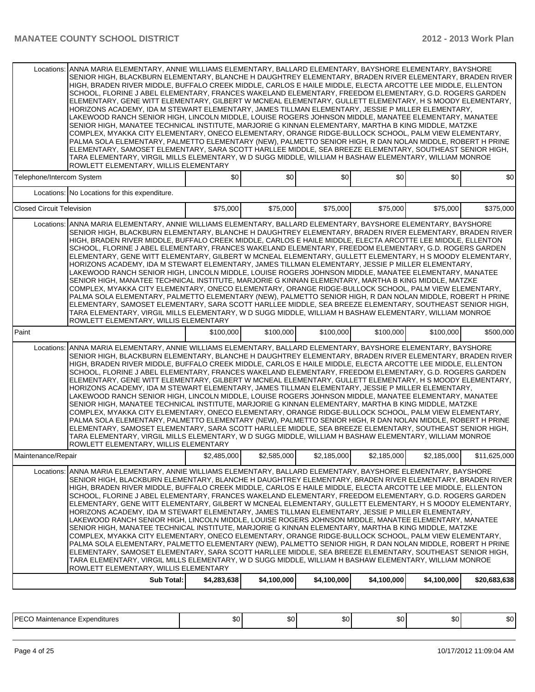| ANNA MARIA ELEMENTARY, ANNIE WILLIAMS ELEMENTARY, BALLARD ELEMENTARY, BAYSHORE ELEMENTARY, BAYSHORE<br>Locations:<br>SENIOR HIGH, BLACKBURN ELEMENTARY, BLANCHE H DAUGHTREY ELEMENTARY, BRADEN RIVER ELEMENTARY, BRADEN RIVER<br>HIGH, BRADEN RIVER MIDDLE, BUFFALO CREEK MIDDLE, CARLOS E HAILE MIDDLE, ELECTA ARCOTTE LEE MIDDLE, ELLENTON<br>SCHOOL, FLORINE J ABEL ELEMENTARY, FRANCES WAKELAND ELEMENTARY, FREEDOM ELEMENTARY, G.D. ROGERS GARDEN<br>ELEMENTARY, GENE WITT ELEMENTARY, GILBERT W MCNEAL ELEMENTARY, GULLETT ELEMENTARY, H S MOODY ELEMENTARY,<br>HORIZONS ACADEMY, IDA M STEWART ELEMENTARY, JAMES TILLMAN ELEMENTARY, JESSIE P MILLER ELEMENTARY,<br>LAKEWOOD RANCH SENIOR HIGH, LINCOLN MIDDLE, LOUISE ROGERS JOHNSON MIDDLE, MANATEE ELEMENTARY, MANATEE<br>SENIOR HIGH, MANATEE TECHNICAL INSTITUTE, MARJORIE G KINNAN ELEMENTARY, MARTHA B KING MIDDLE, MATZKE<br>COMPLEX, MYAKKA CITY ELEMENTARY, ONECO ELEMENTARY, ORANGE RIDGE-BULLOCK SCHOOL, PALM VIEW ELEMENTARY,<br>PALMA SOLA ELEMENTARY, PALMETTO ELEMENTARY (NEW), PALMETTO SENIOR HIGH, R DAN NOLAN MIDDLE, ROBERT H PRINE<br>ELEMENTARY, SAMOSET ELEMENTARY, SARA SCOTT HARLLEE MIDDLE, SEA BREEZE ELEMENTARY, SOUTHEAST SENIOR HIGH,<br>TARA ELEMENTARY, VIRGIL MILLS ELEMENTARY, W D SUGG MIDDLE, WILLIAM H BASHAW ELEMENTARY, WILLIAM MONROE<br>ROWLETT ELEMENTARY, WILLIS ELEMENTARY |                                                                                                                                                                                                                                                                                                                                                                                                                                                                                                                                                                                                                                                                                                                                                                                                                                                                                                                                                                                                                                                                                                                                                                                                                                                                                                                                                                             |             |             |             |             |             |              |  |  |  |
|--------------------------------------------------------------------------------------------------------------------------------------------------------------------------------------------------------------------------------------------------------------------------------------------------------------------------------------------------------------------------------------------------------------------------------------------------------------------------------------------------------------------------------------------------------------------------------------------------------------------------------------------------------------------------------------------------------------------------------------------------------------------------------------------------------------------------------------------------------------------------------------------------------------------------------------------------------------------------------------------------------------------------------------------------------------------------------------------------------------------------------------------------------------------------------------------------------------------------------------------------------------------------------------------------------------------------------------------------------------------------------|-----------------------------------------------------------------------------------------------------------------------------------------------------------------------------------------------------------------------------------------------------------------------------------------------------------------------------------------------------------------------------------------------------------------------------------------------------------------------------------------------------------------------------------------------------------------------------------------------------------------------------------------------------------------------------------------------------------------------------------------------------------------------------------------------------------------------------------------------------------------------------------------------------------------------------------------------------------------------------------------------------------------------------------------------------------------------------------------------------------------------------------------------------------------------------------------------------------------------------------------------------------------------------------------------------------------------------------------------------------------------------|-------------|-------------|-------------|-------------|-------------|--------------|--|--|--|
| Telephone/Intercom System                                                                                                                                                                                                                                                                                                                                                                                                                                                                                                                                                                                                                                                                                                                                                                                                                                                                                                                                                                                                                                                                                                                                                                                                                                                                                                                                                      |                                                                                                                                                                                                                                                                                                                                                                                                                                                                                                                                                                                                                                                                                                                                                                                                                                                                                                                                                                                                                                                                                                                                                                                                                                                                                                                                                                             | \$0         | \$0         | \$0         | \$0         | \$0         | \$0          |  |  |  |
|                                                                                                                                                                                                                                                                                                                                                                                                                                                                                                                                                                                                                                                                                                                                                                                                                                                                                                                                                                                                                                                                                                                                                                                                                                                                                                                                                                                | Locations: No Locations for this expenditure.                                                                                                                                                                                                                                                                                                                                                                                                                                                                                                                                                                                                                                                                                                                                                                                                                                                                                                                                                                                                                                                                                                                                                                                                                                                                                                                               |             |             |             |             |             |              |  |  |  |
| <b>Closed Circuit Television</b>                                                                                                                                                                                                                                                                                                                                                                                                                                                                                                                                                                                                                                                                                                                                                                                                                                                                                                                                                                                                                                                                                                                                                                                                                                                                                                                                               |                                                                                                                                                                                                                                                                                                                                                                                                                                                                                                                                                                                                                                                                                                                                                                                                                                                                                                                                                                                                                                                                                                                                                                                                                                                                                                                                                                             | \$75,000    | \$75,000    | \$75,000    | \$75,000    | \$75,000    | \$375,000    |  |  |  |
|                                                                                                                                                                                                                                                                                                                                                                                                                                                                                                                                                                                                                                                                                                                                                                                                                                                                                                                                                                                                                                                                                                                                                                                                                                                                                                                                                                                | Locations: ANNA MARIA ELEMENTARY, ANNIE WILLIAMS ELEMENTARY, BALLARD ELEMENTARY, BAYSHORE ELEMENTARY, BAYSHORE<br>SENIOR HIGH, BLACKBURN ELEMENTARY, BLANCHE H DAUGHTREY ELEMENTARY, BRADEN RIVER ELEMENTARY, BRADEN RIVER<br>HIGH, BRADEN RIVER MIDDLE, BUFFALO CREEK MIDDLE, CARLOS E HAILE MIDDLE, ELECTA ARCOTTE LEE MIDDLE, ELLENTON<br>SCHOOL, FLORINE J ABEL ELEMENTARY, FRANCES WAKELAND ELEMENTARY, FREEDOM ELEMENTARY, G.D. ROGERS GARDEN<br>ELEMENTARY, GENE WITT ELEMENTARY, GILBERT W MCNEAL ELEMENTARY, GULLETT ELEMENTARY, H S MOODY ELEMENTARY.<br>HORIZONS ACADEMY, IDA M STEWART ELEMENTARY, JAMES TILLMAN ELEMENTARY, JESSIE P MILLER ELEMENTARY,<br>LAKEWOOD RANCH SENIOR HIGH, LINCOLN MIDDLE, LOUISE ROGERS JOHNSON MIDDLE, MANATEE ELEMENTARY, MANATEE<br>SENIOR HIGH, MANATEE TECHNICAL INSTITUTE, MARJORIE G KINNAN ELEMENTARY, MARTHA B KING MIDDLE, MATZKE<br>COMPLEX, MYAKKA CITY ELEMENTARY, ONECO ELEMENTARY, ORANGE RIDGE-BULLOCK SCHOOL, PALM VIEW ELEMENTARY,<br>PALMA SOLA ELEMENTARY, PALMETTO ELEMENTARY (NEW), PALMETTO SENIOR HIGH, R DAN NOLAN MIDDLE, ROBERT H PRINE<br>ELEMENTARY, SAMOSET ELEMENTARY, SARA SCOTT HARLLEE MIDDLE, SEA BREEZE ELEMENTARY, SOUTHEAST SENIOR HIGH,<br>TARA ELEMENTARY, VIRGIL MILLS ELEMENTARY, W D SUGG MIDDLE, WILLIAM H BASHAW ELEMENTARY, WILLIAM MONROE<br>ROWLETT ELEMENTARY, WILLIS ELEMENTARY |             |             |             |             |             |              |  |  |  |
| Paint                                                                                                                                                                                                                                                                                                                                                                                                                                                                                                                                                                                                                                                                                                                                                                                                                                                                                                                                                                                                                                                                                                                                                                                                                                                                                                                                                                          |                                                                                                                                                                                                                                                                                                                                                                                                                                                                                                                                                                                                                                                                                                                                                                                                                                                                                                                                                                                                                                                                                                                                                                                                                                                                                                                                                                             | \$100,000   | \$100,000   | \$100,000   | \$100,000   | \$100,000   | \$500,000    |  |  |  |
|                                                                                                                                                                                                                                                                                                                                                                                                                                                                                                                                                                                                                                                                                                                                                                                                                                                                                                                                                                                                                                                                                                                                                                                                                                                                                                                                                                                | Locations: ANNA MARIA ELEMENTARY, ANNIE WILLIAMS ELEMENTARY, BALLARD ELEMENTARY, BAYSHORE ELEMENTARY, BAYSHORE<br>SENIOR HIGH, BLACKBURN ELEMENTARY, BLANCHE H DAUGHTREY ELEMENTARY, BRADEN RIVER ELEMENTARY, BRADEN RIVER<br>HIGH, BRADEN RIVER MIDDLE, BUFFALO CREEK MIDDLE, CARLOS E HAILE MIDDLE, ELECTA ARCOTTE LEE MIDDLE, ELLENTON<br>SCHOOL, FLORINE J ABEL ELEMENTARY, FRANCES WAKELAND ELEMENTARY, FREEDOM ELEMENTARY, G.D. ROGERS GARDEN<br>ELEMENTARY, GENE WITT ELEMENTARY, GILBERT W MCNEAL ELEMENTARY, GULLETT ELEMENTARY, H S MOODY ELEMENTARY,<br>HORIZONS ACADEMY, IDA M STEWART ELEMENTARY, JAMES TILLMAN ELEMENTARY, JESSIE P MILLER ELEMENTARY,<br>LAKEWOOD RANCH SENIOR HIGH, LINCOLN MIDDLE, LOUISE ROGERS JOHNSON MIDDLE, MANATEE ELEMENTARY, MANATEE<br>SENIOR HIGH, MANATEE TECHNICAL INSTITUTE, MARJORIE G KINNAN ELEMENTARY, MARTHA B KING MIDDLE, MATZKE<br>COMPLEX, MYAKKA CITY ELEMENTARY, ONECO ELEMENTARY, ORANGE RIDGE-BULLOCK SCHOOL, PALM VIEW ELEMENTARY,<br>PALMA SOLA ELEMENTARY, PALMETTO ELEMENTARY (NEW), PALMETTO SENIOR HIGH, R DAN NOLAN MIDDLE, ROBERT H PRINE<br>ELEMENTARY, SAMOSET ELEMENTARY, SARA SCOTT HARLLEE MIDDLE, SEA BREEZE ELEMENTARY, SOUTHEAST SENIOR HIGH,<br>TARA ELEMENTARY, VIRGIL MILLS ELEMENTARY, W D SUGG MIDDLE, WILLIAM H BASHAW ELEMENTARY, WILLIAM MONROE<br>ROWLETT ELEMENTARY, WILLIS ELEMENTARY |             |             |             |             |             |              |  |  |  |
| Maintenance/Repair                                                                                                                                                                                                                                                                                                                                                                                                                                                                                                                                                                                                                                                                                                                                                                                                                                                                                                                                                                                                                                                                                                                                                                                                                                                                                                                                                             |                                                                                                                                                                                                                                                                                                                                                                                                                                                                                                                                                                                                                                                                                                                                                                                                                                                                                                                                                                                                                                                                                                                                                                                                                                                                                                                                                                             | \$2,485,000 | \$2,585,000 | \$2,185,000 | \$2,185,000 | \$2,185,000 | \$11,625,000 |  |  |  |
| Locations:                                                                                                                                                                                                                                                                                                                                                                                                                                                                                                                                                                                                                                                                                                                                                                                                                                                                                                                                                                                                                                                                                                                                                                                                                                                                                                                                                                     | ANNA MARIA ELEMENTARY, ANNIE WILLIAMS ELEMENTARY, BALLARD ELEMENTARY, BAYSHORE ELEMENTARY, BAYSHORE<br>SENIOR HIGH, BLACKBURN ELEMENTARY, BLANCHE H DAUGHTREY ELEMENTARY, BRADEN RIVER ELEMENTARY, BRADEN RIVER<br>HIGH, BRADEN RIVER MIDDLE, BUFFALO CREEK MIDDLE, CARLOS E HAILE MIDDLE, ELECTA ARCOTTE LEE MIDDLE, ELLENTON<br>SCHOOL, FLORINE J ABEL ELEMENTARY, FRANCES WAKELAND ELEMENTARY, FREEDOM ELEMENTARY, G.D. ROGERS GARDEN<br>ELEMENTARY, GENE WITT ELEMENTARY, GILBERT W MCNEAL ELEMENTARY, GULLETT ELEMENTARY, H S MOODY ELEMENTARY,<br>HORIZONS ACADEMY, IDA M STEWART ELEMENTARY, JAMES TILLMAN ELEMENTARY, JESSIE P MILLER ELEMENTARY,<br>LAKEWOOD RANCH SENIOR HIGH, LINCOLN MIDDLE, LOUISE ROGERS JOHNSON MIDDLE, MANATEE ELEMENTARY, MANATEE<br>SENIOR HIGH, MANATEE TECHNICAL INSTITUTE, MARJORIE G KINNAN ELEMENTARY, MARTHA B KING MIDDLE, MATZKE<br>COMPLEX, MYAKKA CITY ELEMENTARY, ONECO ELEMENTARY, ORANGE RIDGE-BULLOCK SCHOOL, PALM VIEW ELEMENTARY,<br>PALMA SOLA ELEMENTARY, PALMETTO ELEMENTARY (NEW), PALMETTO SENIOR HIGH, R DAN NOLAN MIDDLE, ROBERT H PRINE<br>ELEMENTARY, SAMOSET ELEMENTARY, SARA SCOTT HARLLEE MIDDLE, SEA BREEZE ELEMENTARY, SOUTHEAST SENIOR HIGH,<br>TARA ELEMENTARY, VIRGIL MILLS ELEMENTARY, W D SUGG MIDDLE, WILLIAM H BASHAW ELEMENTARY, WILLIAM MONROE<br>ROWLETT ELEMENTARY, WILLIS ELEMENTARY            |             |             |             |             |             |              |  |  |  |
|                                                                                                                                                                                                                                                                                                                                                                                                                                                                                                                                                                                                                                                                                                                                                                                                                                                                                                                                                                                                                                                                                                                                                                                                                                                                                                                                                                                | Sub Total:                                                                                                                                                                                                                                                                                                                                                                                                                                                                                                                                                                                                                                                                                                                                                                                                                                                                                                                                                                                                                                                                                                                                                                                                                                                                                                                                                                  | \$4,283,638 | \$4,100,000 | \$4,100,000 | \$4,100,000 | \$4,100,000 | \$20,683,638 |  |  |  |

PECO Maintenance Expenditures \$0  $\begin{vmatrix} 0 & 0 & 0 \\ 0 & 0 & 0 \\ 0 & 0 & 0 \end{vmatrix}$   $\begin{vmatrix} 0 & 0 & 0 \\ 0 & 0 & 0 \\ 0 & 0 & 0 \end{vmatrix}$   $\begin{vmatrix} 0 & 0 & 0 \\ 0 & 0 & 0 \\ 0 & 0 & 0 \end{vmatrix}$   $\begin{vmatrix} 0 & 0 & 0 \\ 0 & 0 & 0 \\ 0 & 0 & 0 \end{vmatrix}$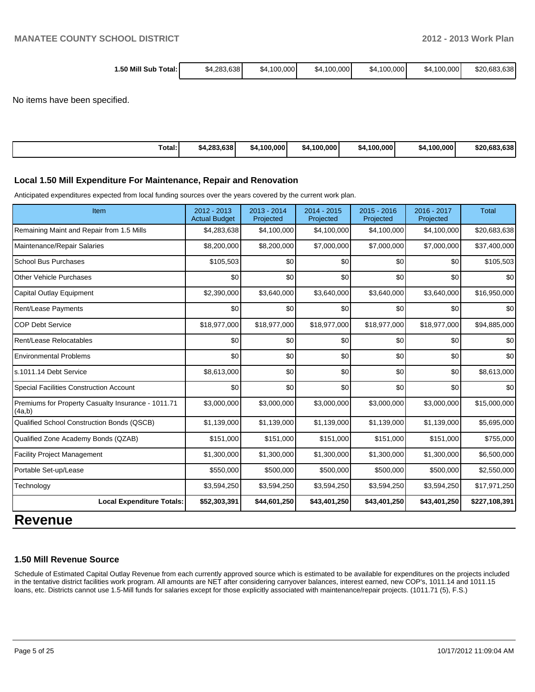| 1.50 Mill Sub<br>Total: ı | \$4.283.638 | \$4.100.000 | \$4.100.000 | .100.000<br>\$4 | \$4.100.000 | \$20,683,638 |
|---------------------------|-------------|-------------|-------------|-----------------|-------------|--------------|
|                           |             |             |             |                 |             |              |

No items have been specified.

| Total: | \$4,283,638 | ا000.000.<br>- 54. . | .100.000<br>54 | .100.000<br>-54. | \$4.100.000 | \$20,683,638 |
|--------|-------------|----------------------|----------------|------------------|-------------|--------------|
|--------|-------------|----------------------|----------------|------------------|-------------|--------------|

#### **Local 1.50 Mill Expenditure For Maintenance, Repair and Renovation**

Anticipated expenditures expected from local funding sources over the years covered by the current work plan.

| Item                                                         | 2012 - 2013<br><b>Actual Budget</b> | 2013 - 2014<br>Projected | $2014 - 2015$<br>Projected | 2015 - 2016<br>Projected | 2016 - 2017<br>Projected | <b>Total</b>  |
|--------------------------------------------------------------|-------------------------------------|--------------------------|----------------------------|--------------------------|--------------------------|---------------|
| Remaining Maint and Repair from 1.5 Mills                    | \$4,283,638                         | \$4,100,000              | \$4,100,000                | \$4,100,000              | \$4,100,000              | \$20,683,638  |
| Maintenance/Repair Salaries                                  | \$8,200,000                         | \$8,200,000              | \$7,000,000                | \$7,000,000              | \$7,000,000              | \$37,400,000  |
| <b>School Bus Purchases</b>                                  | \$105,503                           | \$0                      | \$0                        | \$0                      | \$0                      | \$105,503     |
| <b>Other Vehicle Purchases</b>                               | \$0                                 | \$0                      | \$0                        | \$0                      | \$0                      | \$0           |
| Capital Outlay Equipment                                     | \$2,390,000                         | \$3,640,000              | \$3,640,000                | \$3,640,000              | \$3,640,000              | \$16,950,000  |
| <b>Rent/Lease Payments</b>                                   | \$0                                 | \$0                      | \$0                        | \$0                      | \$0                      | \$0           |
| <b>COP Debt Service</b>                                      | \$18,977,000                        | \$18,977,000             | \$18,977,000               | \$18,977,000             | \$18,977,000             | \$94,885,000  |
| Rent/Lease Relocatables                                      | \$0                                 | \$0                      | \$0                        | \$0                      | \$0                      | \$0           |
| <b>Environmental Problems</b>                                | \$0                                 | \$0                      | \$0                        | \$0                      | \$0                      | \$0           |
| s.1011.14 Debt Service                                       | \$8,613,000                         | \$0                      | \$0                        | \$0                      | \$0                      | \$8,613,000   |
| <b>Special Facilities Construction Account</b>               | \$0                                 | \$0                      | \$0                        | \$0                      | \$0                      | \$0           |
| Premiums for Property Casualty Insurance - 1011.71<br>(4a,b) | \$3,000,000                         | \$3,000,000              | \$3,000,000                | \$3,000,000              | \$3,000,000              | \$15,000,000  |
| Qualified School Construction Bonds (QSCB)                   | \$1,139,000                         | \$1,139,000              | \$1,139,000                | \$1,139,000              | \$1,139,000              | \$5,695,000   |
| Qualified Zone Academy Bonds (QZAB)                          | \$151,000                           | \$151,000                | \$151,000                  | \$151,000                | \$151,000                | \$755,000     |
| <b>Facility Project Management</b>                           | \$1,300,000                         | \$1,300,000              | \$1,300,000                | \$1,300,000              | \$1,300,000              | \$6,500,000   |
| Portable Set-up/Lease                                        | \$550,000                           | \$500,000                | \$500,000                  | \$500,000                | \$500,000                | \$2,550,000   |
| Technology                                                   | \$3,594,250                         | \$3,594,250              | \$3,594,250                | \$3,594,250              | \$3,594,250              | \$17,971,250  |
| <b>Local Expenditure Totals:</b>                             | \$52,303,391                        | \$44,601,250             | \$43,401,250               | \$43,401,250             | \$43,401,250             | \$227,108,391 |

## **Revenue**

## **1.50 Mill Revenue Source**

Schedule of Estimated Capital Outlay Revenue from each currently approved source which is estimated to be available for expenditures on the projects included in the tentative district facilities work program. All amounts are NET after considering carryover balances, interest earned, new COP's, 1011.14 and 1011.15 loans, etc. Districts cannot use 1.5-Mill funds for salaries except for those explicitly associated with maintenance/repair projects. (1011.71 (5), F.S.)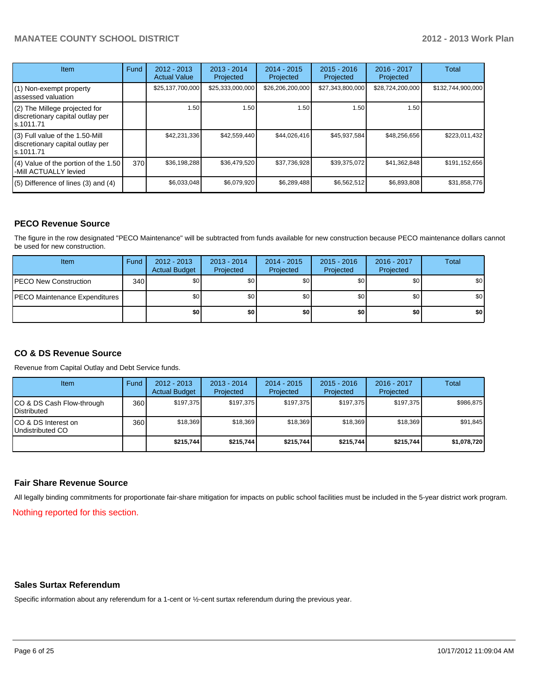## **MANATEE COUNTY SCHOOL DISTRICT 2012 - 2013 Work Plan**

| <b>Item</b>                                                                       | Fund | $2012 - 2013$<br><b>Actual Value</b> | $2013 - 2014$<br>Projected | $2014 - 2015$<br>Projected | $2015 - 2016$<br>Projected | 2016 - 2017<br>Projected | Total             |
|-----------------------------------------------------------------------------------|------|--------------------------------------|----------------------------|----------------------------|----------------------------|--------------------------|-------------------|
| (1) Non-exempt property<br>lassessed valuation                                    |      | \$25,137,700,000                     | \$25,333,000,000           | \$26,206,200,000           | \$27,343,800,000           | \$28,724,200,000         | \$132,744,900,000 |
| (2) The Millege projected for<br>discretionary capital outlay per<br>ls.1011.71   |      | 1.50                                 | 1.50                       | 1.50                       | 1.50                       | 1.50                     |                   |
| (3) Full value of the 1.50-Mill<br>discretionary capital outlay per<br>ls.1011.71 |      | \$42,231,336                         | \$42,559,440               | \$44,026,416               | \$45,937,584               | \$48,256,656             | \$223,011,432     |
| (4) Value of the portion of the 1.50<br>-Mill ACTUALLY levied                     | 370  | \$36,198,288                         | \$36,479,520               | \$37,736,928               | \$39,375,072               | \$41,362,848             | \$191,152,656     |
| $(5)$ Difference of lines $(3)$ and $(4)$                                         |      | \$6,033,048                          | \$6,079,920                | \$6,289,488                | \$6,562,512                | \$6,893,808              | \$31,858,776      |

## **PECO Revenue Source**

The figure in the row designated "PECO Maintenance" will be subtracted from funds available for new construction because PECO maintenance dollars cannot be used for new construction.

| Item                                  | Fund | $2012 - 2013$<br><b>Actual Budget</b> | $2013 - 2014$<br>Projected | $2014 - 2015$<br>Projected | $2015 - 2016$<br>Projected | $2016 - 2017$<br>Projected | <b>Total</b>     |
|---------------------------------------|------|---------------------------------------|----------------------------|----------------------------|----------------------------|----------------------------|------------------|
| <b>IPECO New Construction</b>         | 340  | \$0                                   | \$0                        | \$0                        | \$0 <sub>1</sub>           | \$0                        | \$0 <sub>1</sub> |
| <b>IPECO Maintenance Expenditures</b> |      | \$0                                   | \$0                        | \$0                        | \$0 <sub>1</sub>           | \$0                        | \$0 <sub>1</sub> |
|                                       |      | \$0                                   | \$0                        | \$0                        | \$0                        | \$0                        | \$0              |

## **CO & DS Revenue Source**

Revenue from Capital Outlay and Debt Service funds.

| Item                                              | Fund             | $2012 - 2013$<br><b>Actual Budget</b> | $2013 - 2014$<br>Projected | $2014 - 2015$<br>Projected | $2015 - 2016$<br>Projected | $2016 - 2017$<br>Projected | Total       |
|---------------------------------------------------|------------------|---------------------------------------|----------------------------|----------------------------|----------------------------|----------------------------|-------------|
| ICO & DS Cash Flow-through<br><b>IDistributed</b> | 360              | \$197.375                             | \$197,375                  | \$197.375                  | \$197.375                  | \$197,375                  | \$986,875   |
| ICO & DS Interest on<br>Undistributed CO          | 360 <sup>I</sup> | \$18.369                              | \$18,369                   | \$18.369                   | \$18,369                   | \$18,369                   | \$91,845    |
|                                                   |                  | \$215,744                             | \$215.744                  | \$215.744                  | \$215.744                  | \$215,744                  | \$1,078,720 |

#### **Fair Share Revenue Source**

All legally binding commitments for proportionate fair-share mitigation for impacts on public school facilities must be included in the 5-year district work program.

Nothing reported for this section.

### **Sales Surtax Referendum**

Specific information about any referendum for a 1-cent or ½-cent surtax referendum during the previous year.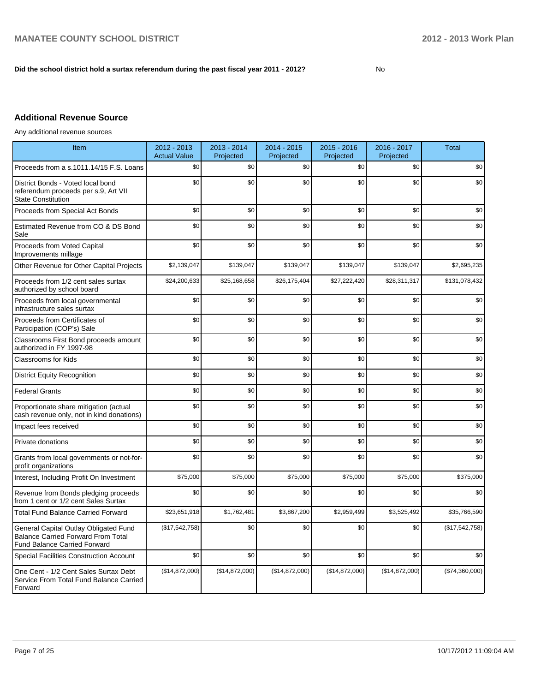## **Did the school district hold a surtax referendum during the past fiscal year 2011 - 2012?**

No

## **Additional Revenue Source**

Any additional revenue sources

| Item                                                                                                                      | 2012 - 2013<br><b>Actual Value</b> | $2013 - 2014$<br>Projected | 2014 - 2015<br>Projected | $2015 - 2016$<br>Projected | 2016 - 2017<br>Projected | <b>Total</b>     |
|---------------------------------------------------------------------------------------------------------------------------|------------------------------------|----------------------------|--------------------------|----------------------------|--------------------------|------------------|
| Proceeds from a s.1011.14/15 F.S. Loans                                                                                   | \$0                                | \$0                        | \$0                      | \$0                        | \$0                      | \$0              |
| District Bonds - Voted local bond<br>referendum proceeds per s.9, Art VII<br><b>State Constitution</b>                    | \$0                                | \$0                        | \$0                      | \$0                        | \$0                      | \$0              |
| Proceeds from Special Act Bonds                                                                                           | \$0                                | \$0                        | \$0                      | \$0                        | \$0                      | \$0              |
| Estimated Revenue from CO & DS Bond<br>Sale                                                                               | \$0                                | \$0                        | \$0                      | \$0                        | \$0                      | \$0              |
| Proceeds from Voted Capital<br>Improvements millage                                                                       | \$0                                | \$0                        | \$0                      | \$0                        | \$0                      | \$0              |
| Other Revenue for Other Capital Projects                                                                                  | \$2,139,047                        | \$139,047                  | \$139,047                | \$139,047                  | \$139,047                | \$2,695,235      |
| Proceeds from 1/2 cent sales surtax<br>authorized by school board                                                         | \$24,200,633                       | \$25,168,658               | \$26,175,404             | \$27,222,420               | \$28,311,317             | \$131,078,432    |
| Proceeds from local governmental<br>infrastructure sales surtax                                                           | \$0                                | \$0                        | \$0                      | \$0                        | \$0                      | \$0              |
| Proceeds from Certificates of<br>Participation (COP's) Sale                                                               | \$0                                | \$0                        | \$0                      | \$0                        | \$0                      | \$0              |
| Classrooms First Bond proceeds amount<br>authorized in FY 1997-98                                                         | \$0                                | \$0                        | \$0                      | \$0                        | \$0                      | \$0              |
| <b>Classrooms for Kids</b>                                                                                                | \$0                                | \$0                        | \$0                      | \$0                        | \$0                      | \$0              |
| <b>District Equity Recognition</b>                                                                                        | \$0                                | \$0                        | \$0                      | \$0                        | \$0                      | \$0              |
| <b>Federal Grants</b>                                                                                                     | \$0                                | \$0                        | \$0                      | \$0                        | \$0                      | \$0              |
| Proportionate share mitigation (actual<br>cash revenue only, not in kind donations)                                       | \$0                                | \$0                        | \$0                      | \$0                        | \$0                      | \$0              |
| Impact fees received                                                                                                      | \$0                                | \$0                        | \$0                      | \$0                        | \$0                      | \$0              |
| Private donations                                                                                                         | \$0                                | \$0                        | \$0                      | \$0                        | \$0                      | \$0              |
| Grants from local governments or not-for-<br>profit organizations                                                         | \$0                                | \$0                        | \$0                      | \$0                        | \$0                      | \$0              |
| Interest, Including Profit On Investment                                                                                  | \$75,000                           | \$75,000                   | \$75,000                 | \$75,000                   | \$75,000                 | \$375,000        |
| Revenue from Bonds pledging proceeds<br>from 1 cent or 1/2 cent Sales Surtax                                              | \$0                                | \$0                        | \$0                      | \$0                        | \$0                      | \$0              |
| <b>Total Fund Balance Carried Forward</b>                                                                                 | \$23,651,918                       | \$1,762,481                | \$3,867,200              | \$2,959,499                | \$3,525,492              | \$35,766,590     |
| General Capital Outlay Obligated Fund<br><b>Balance Carried Forward From Total</b><br><b>Fund Balance Carried Forward</b> | (\$17,542,758)                     | \$0                        | \$0                      | \$0                        | \$0                      | (\$17,542,758)   |
| <b>Special Facilities Construction Account</b>                                                                            | \$0                                | \$0                        | \$0                      | \$0                        | \$0                      | \$0              |
| One Cent - 1/2 Cent Sales Surtax Debt<br>Service From Total Fund Balance Carried<br>Forward                               | (\$14,872,000)                     | (\$14,872,000)             | (\$14,872,000)           | (\$14,872,000)             | (\$14,872,000)           | $(\$74,360,000)$ |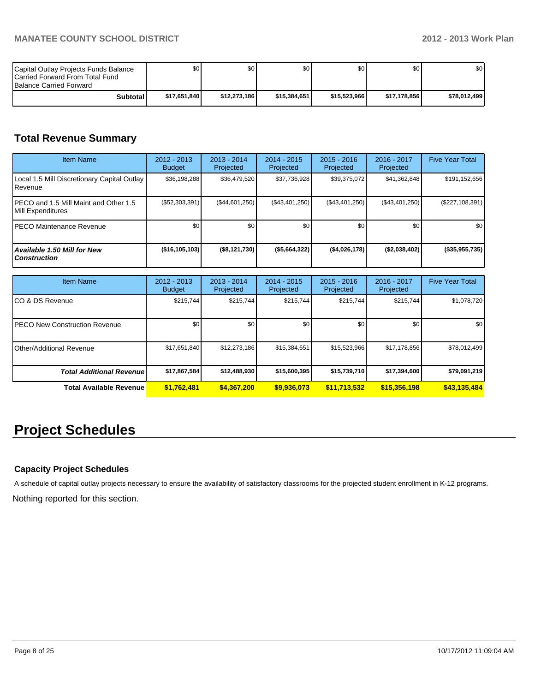| Capital Outlay Projects Funds Balance<br><b>ICarried Forward From Total Fund</b><br><b>Balance Carried Forward</b> | \$O I        | \$0 <sub>1</sub> | \$0          | ا 30         | \$0 <sub>1</sub> | \$0          |
|--------------------------------------------------------------------------------------------------------------------|--------------|------------------|--------------|--------------|------------------|--------------|
| <b>Subtotal</b>                                                                                                    | \$17.651.840 | \$12.273.186     | \$15,384,651 | \$15,523,966 | \$17.178.856     | \$78,012,499 |

# **Total Revenue Summary**

| <b>Item Name</b>                                           | 2012 - 2013<br><b>Budget</b> | $2013 - 2014$<br>Projected | $2014 - 2015$<br>Projected | $2015 - 2016$<br>Projected | 2016 - 2017<br>Projected | <b>Five Year Total</b> |
|------------------------------------------------------------|------------------------------|----------------------------|----------------------------|----------------------------|--------------------------|------------------------|
| Local 1.5 Mill Discretionary Capital Outlay<br>l Revenue   | \$36,198,288                 | \$36,479,520               | \$37,736,928               | \$39,375,072               | \$41,362,848             | \$191,152,656          |
| PECO and 1.5 Mill Maint and Other 1.5<br>Mill Expenditures | (S52, 303, 391)              | (\$44,601,250)             | (\$43,401,250)             | (\$43,401,250)             | (\$43,401,250)           | $(\$227,108,391)$      |
| IPECO Maintenance Revenue                                  | \$0                          | \$0 <sub>1</sub>           | \$0                        | \$0                        | \$0                      | \$0 <sub>1</sub>       |
| Available 1.50 Mill for New<br><b>Construction</b>         | $($ \$16,105,103)            | (\$8,121,730)              | (\$5,664,322)              | ( \$4,026,178]             | (\$2,038,402)            | (\$35,955,735)         |

| Item Name                             | 2012 - 2013<br><b>Budget</b> | $2013 - 2014$<br>Projected | $2014 - 2015$<br>Projected | $2015 - 2016$<br>Projected | 2016 - 2017<br>Projected | <b>Five Year Total</b> |
|---------------------------------------|------------------------------|----------------------------|----------------------------|----------------------------|--------------------------|------------------------|
| ICO & DS Revenue                      | \$215,744                    | \$215,744                  | \$215.744                  | \$215,744                  | \$215,744                | \$1,078,720            |
| <b>IPECO New Construction Revenue</b> | \$0                          | \$0                        | \$0                        | \$0                        | \$0 <sub>1</sub>         | \$0 <sub>1</sub>       |
| <b>I</b> Other/Additional Revenue     | \$17,651,840                 | \$12,273,186               | \$15,384,651               | \$15,523,966               | \$17,178,856             | \$78,012,499           |
| <b>Total Additional Revenuel</b>      | \$17,867,584                 | \$12,488,930               | \$15,600,395               | \$15,739,710               | \$17,394,600             | \$79,091,219           |
| <b>Total Available Revenue</b>        | \$1,762,481                  | \$4,367,200                | \$9,936,073                | \$11,713,532               | \$15,356,198             | \$43,135,484           |

# **Project Schedules**

## **Capacity Project Schedules**

A schedule of capital outlay projects necessary to ensure the availability of satisfactory classrooms for the projected student enrollment in K-12 programs.

Nothing reported for this section.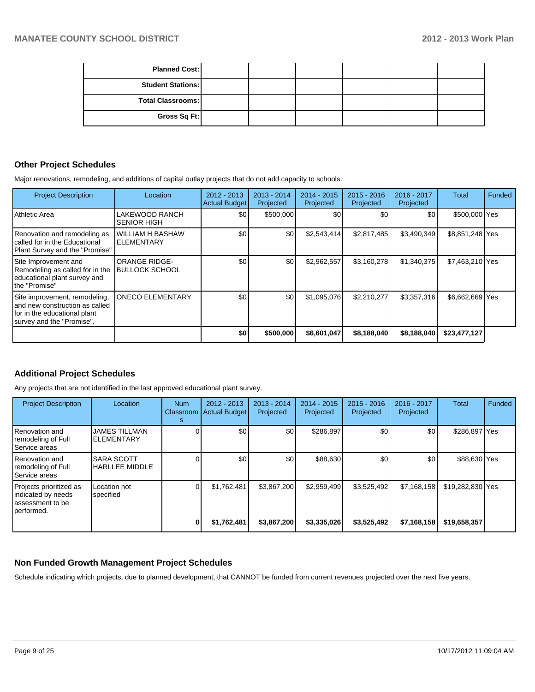| <b>Planned Cost:</b>     |  |  |  |
|--------------------------|--|--|--|
| <b>Student Stations:</b> |  |  |  |
| <b>Total Classrooms:</b> |  |  |  |
| Gross Sq Ft:             |  |  |  |

## **Other Project Schedules**

Major renovations, remodeling, and additions of capital outlay projects that do not add capacity to schools.

| <b>Project Description</b>                                                                                                    | Location                                      | 2012 - 2013<br><b>Actual Budget</b> | $2013 - 2014$<br>Projected | $2014 - 2015$<br>Projected | $2015 - 2016$<br>Projected | 2016 - 2017<br>Projected | Total           | Funded |
|-------------------------------------------------------------------------------------------------------------------------------|-----------------------------------------------|-------------------------------------|----------------------------|----------------------------|----------------------------|--------------------------|-----------------|--------|
| l Athletic Area                                                                                                               | LAKEWOOD RANCH<br><b>SENIOR HIGH</b>          | \$0                                 | \$500,000                  | \$0                        | \$0                        | \$0                      | \$500,000 Yes   |        |
| Renovation and remodeling as<br>Icalled for in the Educational<br>Plant Survey and the "Promise"                              | <b>WILLIAM H BASHAW</b><br><b>ELEMENTARY</b>  | \$0                                 | \$0                        | \$2,543,414                | \$2,817,485                | \$3,490,349              | \$8,851,248 Yes |        |
| Site Improvement and<br>Remodeling as called for in the<br>educational plant survey and<br>Ithe "Promise"                     | <b>ORANGE RIDGE-</b><br><b>BULLOCK SCHOOL</b> | \$0                                 | \$0                        | \$2,962,557                | \$3,160,278                | \$1,340,375              | \$7,463,210 Yes |        |
| Site improvement, remodeling,<br>Iand new construction as called<br>for in the educational plant<br>survey and the "Promise". | <b>ONECO ELEMENTARY</b>                       | \$0                                 | \$0                        | \$1,095,076                | \$2,210,277                | \$3,357,316              | \$6,662,669 Yes |        |
|                                                                                                                               |                                               | \$0 <sub>1</sub>                    | \$500,000                  | \$6,601,047                | \$8,188,040                | \$8,188,040              | \$23,477,127    |        |

## **Additional Project Schedules**

Any projects that are not identified in the last approved educational plant survey.

| <b>Project Description</b>                                                      | Location                                   | <b>Num</b><br>Classroom<br>s | 2012 - 2013<br><b>Actual Budget</b> | $2013 - 2014$<br>Projected | $2014 - 2015$<br>Projected | $2015 - 2016$<br>Projected | 2016 - 2017<br>Projected | Total            | Funded |
|---------------------------------------------------------------------------------|--------------------------------------------|------------------------------|-------------------------------------|----------------------------|----------------------------|----------------------------|--------------------------|------------------|--------|
| Renovation and<br>remodeling of Full<br>Service areas                           | <b>JAMES TILLMAN</b><br><b>ELEMENTARY</b>  |                              | \$0                                 | \$0 <sub>1</sub>           | \$286,897                  | \$0                        | \$0                      | \$286,897 Yes    |        |
| Renovation and<br>remodeling of Full<br>Service areas                           | <b>SARA SCOTT</b><br><b>HARLLEE MIDDLE</b> |                              | \$0 <sub>1</sub>                    | \$0                        | \$88,630                   | \$0                        | \$0                      | \$88,630 Yes     |        |
| Projects prioritized as<br>indicated by needs<br>assessment to be<br>performed. | Location not<br>specified                  |                              | \$1.762.481                         | \$3.867.200                | \$2.959.499                | \$3,525,492                | \$7.168.158              | \$19,282,830 Yes |        |
|                                                                                 |                                            |                              | \$1,762,481                         | \$3,867,200                | \$3,335,026                | \$3,525,492                | \$7,168,158              | \$19,658,357     |        |

## **Non Funded Growth Management Project Schedules**

Schedule indicating which projects, due to planned development, that CANNOT be funded from current revenues projected over the next five years.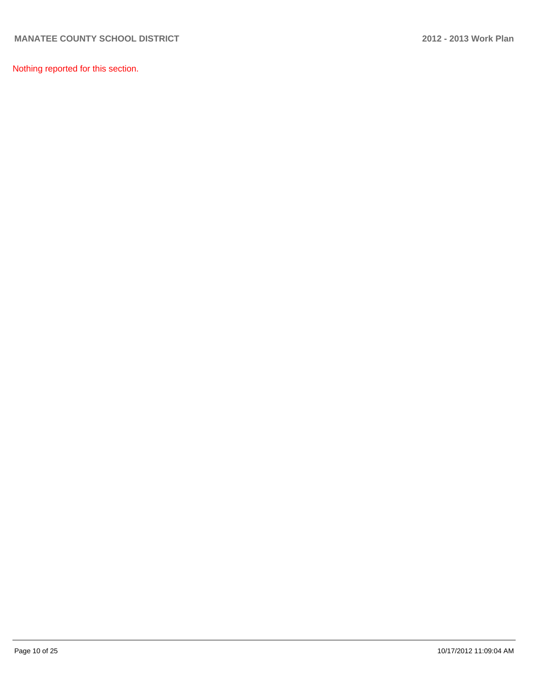Nothing reported for this section.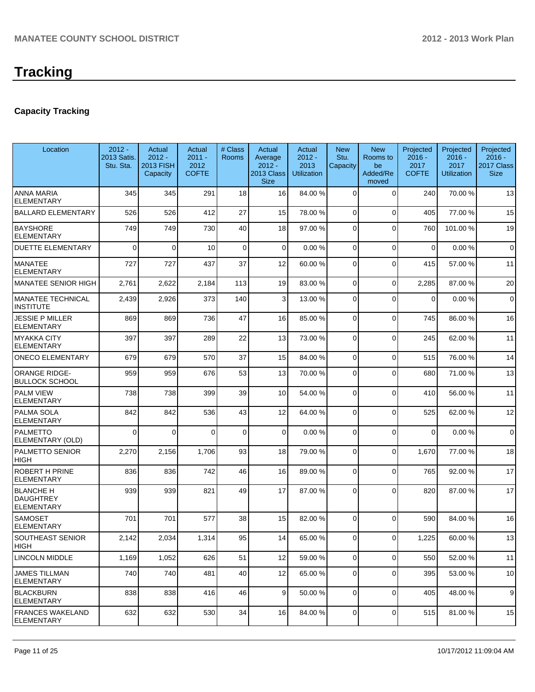## **Capacity Tracking**

| Location                                                  | $2012 -$<br>2013 Satis.<br>Stu. Sta. | Actual<br>$2012 -$<br><b>2013 FISH</b><br>Capacity | Actual<br>$2011 -$<br>2012<br><b>COFTE</b> | # Class<br><b>Rooms</b> | Actual<br>Average<br>$2012 -$<br><b>2013 Class</b><br><b>Size</b> | Actual<br>$2012 -$<br>2013<br><b>Utilization</b> | <b>New</b><br>Stu.<br>Capacity | <b>New</b><br>Rooms to<br>be<br>Added/Re<br>moved | Projected<br>$2016 -$<br>2017<br><b>COFTE</b> | Projected<br>$2016 -$<br>2017<br><b>Utilization</b> | Projected<br>$2016 -$<br>2017 Class<br><b>Size</b> |
|-----------------------------------------------------------|--------------------------------------|----------------------------------------------------|--------------------------------------------|-------------------------|-------------------------------------------------------------------|--------------------------------------------------|--------------------------------|---------------------------------------------------|-----------------------------------------------|-----------------------------------------------------|----------------------------------------------------|
| <b>ANNA MARIA</b><br><b>ELEMENTARY</b>                    | 345                                  | 345                                                | 291                                        | 18                      | 16                                                                | 84.00 %                                          | $\Omega$                       | $\Omega$                                          | 240                                           | 70.00%                                              | 13                                                 |
| <b>BALLARD ELEMENTARY</b>                                 | 526                                  | 526                                                | 412                                        | 27                      | 15                                                                | 78.00 %                                          | 0                              | $\Omega$                                          | 405                                           | 77.00 %                                             | 15                                                 |
| <b>BAYSHORE</b><br><b>ELEMENTARY</b>                      | 749                                  | 749                                                | 730                                        | 40                      | 18                                                                | 97.00 %                                          | 0                              | $\Omega$                                          | 760                                           | 101.00%                                             | 19                                                 |
| <b>DUETTE ELEMENTARY</b>                                  | $\mathbf{0}$                         | $\Omega$                                           | 10                                         | $\mathbf 0$             | $\Omega$                                                          | 0.00%                                            | $\Omega$                       | $\Omega$                                          | $\mathbf 0$                                   | 0.00%                                               | $\mathbf 0$                                        |
| <b>MANATEE</b><br><b>ELEMENTARY</b>                       | 727                                  | 727                                                | 437                                        | 37                      | 12                                                                | 60.00 %                                          | $\Omega$                       | $\Omega$                                          | 415                                           | 57.00 %                                             | 11                                                 |
| MANATEE SENIOR HIGH                                       | 2,761                                | 2,622                                              | 2,184                                      | 113                     | 19                                                                | 83.00 %                                          | $\overline{0}$                 | $\Omega$                                          | 2,285                                         | 87.00 %                                             | 20                                                 |
| <b>MANATEE TECHNICAL</b><br>INSTITUTE                     | 2,439                                | 2,926                                              | 373                                        | 140                     | 3                                                                 | 13.00 %                                          | $\overline{0}$                 | $\Omega$                                          | 0                                             | 0.00%                                               | $\mathbf 0$                                        |
| JESSIE P MILLER<br><b>ELEMENTARY</b>                      | 869                                  | 869                                                | 736                                        | 47                      | 16                                                                | 85.00 %                                          | $\Omega$                       | $\Omega$                                          | 745                                           | 86.00%                                              | 16                                                 |
| <b>MYAKKA CITY</b><br><b>ELEMENTARY</b>                   | 397                                  | 397                                                | 289                                        | 22                      | 13                                                                | 73.00 %                                          | $\Omega$                       | $\Omega$                                          | 245                                           | 62.00%                                              | 11                                                 |
| <b>ONECO ELEMENTARY</b>                                   | 679                                  | 679                                                | 570                                        | 37                      | 15                                                                | 84.00 %                                          | $\overline{0}$                 | $\Omega$                                          | 515                                           | 76.00%                                              | 14                                                 |
| <b>ORANGE RIDGE-</b><br><b>BULLOCK SCHOOL</b>             | 959                                  | 959                                                | 676                                        | 53                      | 13                                                                | 70.00 %                                          | $\Omega$                       | $\Omega$                                          | 680                                           | 71.00%                                              | 13                                                 |
| <b>PALM VIEW</b><br><b>ELEMENTARY</b>                     | 738                                  | 738                                                | 399                                        | 39                      | 10 <sup>1</sup>                                                   | 54.00 %                                          | $\overline{0}$                 | $\Omega$                                          | 410                                           | 56.00 %                                             | 11                                                 |
| <b>PALMA SOLA</b><br><b>ELEMENTARY</b>                    | 842                                  | 842                                                | 536                                        | 43                      | 12                                                                | 64.00 %                                          | 0                              | $\Omega$                                          | 525                                           | 62.00%                                              | 12                                                 |
| <b>PALMETTO</b><br>ELEMENTARY (OLD)                       | $\mathbf{0}$                         | 0                                                  | 0                                          | $\mathbf 0$             | $\overline{0}$                                                    | 0.00%                                            | 0                              | $\Omega$                                          | $\Omega$                                      | 0.00%                                               | $\mathbf 0$                                        |
| <b>PALMETTO SENIOR</b><br><b>HIGH</b>                     | 2,270                                | 2,156                                              | 1,706                                      | 93                      | 18                                                                | 79.00 %                                          | $\Omega$                       | $\Omega$                                          | 1,670                                         | 77.00 %                                             | 18                                                 |
| <b>ROBERT H PRINE</b><br><b>ELEMENTARY</b>                | 836                                  | 836                                                | 742                                        | 46                      | 16                                                                | 89.00 %                                          | $\overline{0}$                 | $\Omega$                                          | 765                                           | 92.00%                                              | 17                                                 |
| <b>BLANCHE H</b><br><b>DAUGHTREY</b><br><b>ELEMENTARY</b> | 939                                  | 939                                                | 821                                        | 49                      | 17                                                                | 87.00 %                                          | $\Omega$                       | $\Omega$                                          | 820                                           | 87.00 %                                             | 17                                                 |
| <b>SAMOSET</b><br><b>ELEMENTARY</b>                       | 701                                  | 701                                                | 577                                        | 38                      | 15                                                                | 82.00 %                                          | 0                              | $\Omega$                                          | 590                                           | 84.00 %                                             | 16                                                 |
| <b>SOUTHEAST SENIOR</b><br>HIGH                           | 2,142                                | 2,034                                              | 1,314                                      | 95                      | 14                                                                | 65.00 %                                          | $\overline{0}$                 | $\overline{0}$                                    | 1,225                                         | 60.00%                                              | 13                                                 |
| <b>LINCOLN MIDDLE</b>                                     | 1,169                                | 1,052                                              | 626                                        | 51                      | 12                                                                | 59.00 %                                          | $\overline{0}$                 | $\Omega$                                          | 550                                           | 52.00 %                                             | 11                                                 |
| <b>JAMES TILLMAN</b><br><b>ELEMENTARY</b>                 | 740                                  | 740                                                | 481                                        | 40                      | 12                                                                | 65.00 %                                          | 0                              | 0                                                 | 395                                           | 53.00 %                                             | 10                                                 |
| <b>BLACKBURN</b><br><b>ELEMENTARY</b>                     | 838                                  | 838                                                | 416                                        | 46                      | 9                                                                 | 50.00 %                                          | 0                              | $\mathbf 0$                                       | 405                                           | 48.00%                                              | 9                                                  |
| <b>FRANCES WAKELAND</b><br><b>ELEMENTARY</b>              | 632                                  | 632                                                | 530                                        | 34                      | 16                                                                | 84.00 %                                          | $\vert 0 \vert$                | $\overline{0}$                                    | 515                                           | 81.00%                                              | 15                                                 |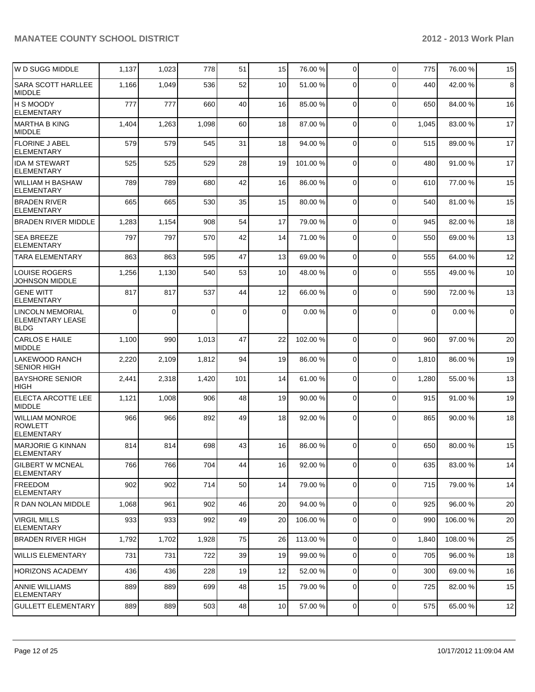| W D SUGG MIDDLE                                                   | 1,137        | 1,023 | 778      | 51  | 15              | 76.00 %  | $\overline{0}$ | $\Omega$       | 775   | 76.00 %  | 15          |
|-------------------------------------------------------------------|--------------|-------|----------|-----|-----------------|----------|----------------|----------------|-------|----------|-------------|
| <b>SARA SCOTT HARLLEE</b><br><b>MIDDLE</b>                        | 1,166        | 1,049 | 536      | 52  | 10              | 51.00 %  | $\Omega$       | $\Omega$       | 440   | 42.00%   | 8           |
| <b>H S MOODY</b><br><b>ELEMENTARY</b>                             | 777          | 777   | 660      | 40  | 16              | 85.00 %  | $\Omega$       | $\Omega$       | 650   | 84.00%   | 16          |
| MARTHA B KING<br><b>MIDDLE</b>                                    | 1,404        | 1,263 | 1,098    | 60  | 18              | 87.00 %  | $\Omega$       | $\mathbf 0$    | 1,045 | 83.00 %  | 17          |
| FLORINE J ABEL<br><b>ELEMENTARY</b>                               | 579          | 579   | 545      | 31  | 18              | 94.00 %  | $\Omega$       | $\Omega$       | 515   | 89.00 %  | 17          |
| <b>IDA M STEWART</b><br><b>ELEMENTARY</b>                         | 525          | 525   | 529      | 28  | 19              | 101.00 % | $\Omega$       | $\Omega$       | 480   | 91.00%   | 17          |
| <b>WILLIAM H BASHAW</b><br><b>ELEMENTARY</b>                      | 789          | 789   | 680      | 42  | 16              | 86.00 %  | $\Omega$       | $\mathbf 0$    | 610   | 77.00 %  | 15          |
| <b>BRADEN RIVER</b><br><b>ELEMENTARY</b>                          | 665          | 665   | 530      | 35  | 15              | 80.00 %  | $\overline{0}$ | $\Omega$       | 540   | 81.00%   | 15          |
| <b>BRADEN RIVER MIDDLE</b>                                        | 1,283        | 1,154 | 908      | 54  | 17              | 79.00 %  | $\Omega$       | $\Omega$       | 945   | 82.00%   | 18          |
| <b>SEA BREEZE</b><br><b>ELEMENTARY</b>                            | 797          | 797   | 570      | 42  | 14              | 71.00 %  | $\overline{0}$ | $\Omega$       | 550   | 69.00 %  | 13          |
| <b>TARA ELEMENTARY</b>                                            | 863          | 863   | 595      | 47  | 13              | 69.00 %  | $\overline{0}$ | $\Omega$       | 555   | 64.00%   | 12          |
| <b>LOUISE ROGERS</b><br>JOHNSON MIDDLE                            | 1,256        | 1,130 | 540      | 53  | 10              | 48.00 %  | 0              | $\Omega$       | 555   | 49.00 %  | 10          |
| <b>GENE WITT</b><br><b>ELEMENTARY</b>                             | 817          | 817   | 537      | 44  | 12              | 66.00 %  | $\Omega$       | $\Omega$       | 590   | 72.00%   | 13          |
| <b>LINCOLN MEMORIAL</b><br><b>ELEMENTARY LEASE</b><br><b>BLDG</b> | $\mathbf{0}$ | 0     | $\Omega$ | 0   | $\overline{0}$  | 0.00%    | $\Omega$       | $\Omega$       | 0     | 0.00%    | $\mathbf 0$ |
| <b>CARLOS E HAILE</b><br><b>MIDDLE</b>                            | 1,100        | 990   | 1,013    | 47  | 22              | 102.00 % | $\Omega$       | $\Omega$       | 960   | 97.00%   | 20          |
| <b>LAKEWOOD RANCH</b><br><b>SENIOR HIGH</b>                       | 2,220        | 2,109 | 1,812    | 94  | 19              | 86.00 %  | $\overline{0}$ | $\mathbf 0$    | 1,810 | 86.00 %  | 19          |
| <b>BAYSHORE SENIOR</b><br><b>HIGH</b>                             | 2,441        | 2,318 | 1,420    | 101 | 14              | 61.00 %  | 0              | $\mathbf 0$    | 1,280 | 55.00 %  | 13          |
| <b>ELECTA ARCOTTE LEE</b><br><b>MIDDLE</b>                        | 1,121        | 1,008 | 906      | 48  | 19              | 90.00 %  | $\Omega$       | $\Omega$       | 915   | 91.00 %  | 19          |
| <b>WILLIAM MONROE</b><br><b>ROWLETT</b><br><b>ELEMENTARY</b>      | 966          | 966   | 892      | 49  | 18              | 92.00 %  | $\Omega$       | $\Omega$       | 865   | 90.00 %  | 18          |
| <b>MARJORIE G KINNAN</b><br>ELEMENTARY                            | 814          | 814   | 698      | 43  | 16              | 86.00 %  | $\Omega$       | $\Omega$       | 650   | 80.00 %  | 15          |
| <b>GILBERT W MCNEAL</b><br><b>ELEMENTARY</b>                      | 766          | 766   | 704      | 44  | 16              | 92.00 %  | $\overline{0}$ | $\mathbf 0$    | 635   | 83.00 %  | 14          |
| <b>IFREEDOM</b><br>ELEMENTARY                                     | 902          | 902   | 714      | 50  | 14              | 79.00 %  | $\overline{0}$ | $\mathbf 0$    | 715   | 79.00 %  | 14          |
| R DAN NOLAN MIDDLE                                                | 1,068        | 961   | 902      | 46  | 20              | 94.00 %  | $\overline{0}$ | $\mathbf 0$    | 925   | 96.00%   | 20          |
| VIRGIL MILLS<br><b>ELEMENTARY</b>                                 | 933          | 933   | 992      | 49  | 20              | 106.00 % | 0              | $\mathbf 0$    | 990   | 106.00 % | 20          |
| <b>BRADEN RIVER HIGH</b>                                          | 1,792        | 1,702 | 1,928    | 75  | 26              | 113.00 % | $\Omega$       | $\mathbf 0$    | 1,840 | 108.00%  | 25          |
| <b>WILLIS ELEMENTARY</b>                                          | 731          | 731   | 722      | 39  | 19              | 99.00 %  | $\Omega$       | $\mathbf 0$    | 705   | 96.00 %  | 18          |
| <b>HORIZONS ACADEMY</b>                                           | 436          | 436   | 228      | 19  | 12              | 52.00 %  | $\Omega$       | $\mathbf 0$    | 300   | 69.00 %  | 16          |
| <b>ANNIE WILLIAMS</b><br><b>ELEMENTARY</b>                        | 889          | 889   | 699      | 48  | 15              | 79.00 %  | $\Omega$       | $\mathbf 0$    | 725   | 82.00%   | 15          |
| <b>GULLETT ELEMENTARY</b>                                         | 889          | 889   | 503      | 48  | 10 <sup>1</sup> | 57.00 %  | $\overline{0}$ | $\overline{0}$ | 575   | 65.00 %  | 12          |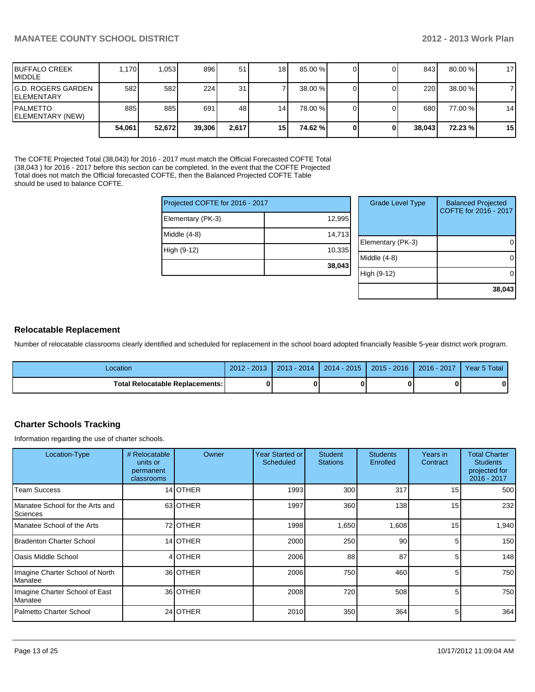**38,043**

| <b>IBUFFALO CREEK</b><br><b>IMIDDLE</b>          | 1.170  | 1,053  | 896    | 51              | 18              | 85.00 % |  | 843          | $80.00\%$ | 17              |
|--------------------------------------------------|--------|--------|--------|-----------------|-----------------|---------|--|--------------|-----------|-----------------|
| <b>IG.D. ROGERS GARDEN</b><br><b>IELEMENTARY</b> | 582    | 582I   | 224    | 31 <sub>1</sub> |                 | 38.00 % |  | 220 <b>1</b> | 38.00 %   |                 |
| <b>IPALMETTO</b><br>ELEMENTARY (NEW)             | 885    | 885    | 691    | 48              | 14              | 78.00 % |  | 680          | 77.00 %   | 14              |
|                                                  | 54,061 | 52.672 | 39,306 | 2.617           | 15 <sup>1</sup> | 74.62 % |  | 38.043       | 72.23 %   | 15 <sub>l</sub> |

The COFTE Projected Total (38,043) for 2016 - 2017 must match the Official Forecasted COFTE Total (38,043 ) for 2016 - 2017 before this section can be completed. In the event that the COFTE Projected Total does not match the Official forecasted COFTE, then the Balanced Projected COFTE Table should be used to balance COFTE.

| Projected COFTE for 2016 - 2017 |        | <b>Grade Level Type</b> | <b>Balanced Projected</b><br>COFTE for 2016 - 2017 |
|---------------------------------|--------|-------------------------|----------------------------------------------------|
| Elementary (PK-3)               | 12,995 |                         |                                                    |
| Middle (4-8)                    | 14,713 |                         |                                                    |
|                                 |        | Elementary (PK-3)       |                                                    |
| High (9-12)                     | 10,335 |                         |                                                    |
|                                 |        | Middle (4-8)            |                                                    |
|                                 | 38,043 |                         |                                                    |
|                                 |        | High (9-12)             |                                                    |
|                                 |        |                         |                                                    |

### **Relocatable Replacement**

Number of relocatable classrooms clearly identified and scheduled for replacement in the school board adopted financially feasible 5-year district work program.

| Location                                 | $2012 - 2013$ | 2013 - 2014 | $2014 - 2015$ | $2015 - 2016$ | 2016 - 2017 | Year 5 Total |
|------------------------------------------|---------------|-------------|---------------|---------------|-------------|--------------|
| <b>Total Relocatable Replacements: I</b> |               | o           |               |               |             |              |

## **Charter Schools Tracking**

Information regarding the use of charter schools.

| Location-Type                                       | # Relocatable<br>units or<br>permanent<br>classrooms | Owner            | Year Started or<br><b>Scheduled</b> | <b>Student</b><br><b>Stations</b> | <b>Students</b><br>Enrolled | Years in<br>Contract | <b>Total Charter</b><br><b>Students</b><br>projected for<br>2016 - 2017 |
|-----------------------------------------------------|------------------------------------------------------|------------------|-------------------------------------|-----------------------------------|-----------------------------|----------------------|-------------------------------------------------------------------------|
| l Team Success                                      |                                                      | 14 OTHER         | 1993                                | 300 <sub>l</sub>                  | 317                         | 15                   | 500                                                                     |
| Manatee School for the Arts and<br><b>Sciences</b>  |                                                      | 63 OTHER         | 1997                                | 360                               | 138                         | 15                   | 232                                                                     |
| Manatee School of the Arts                          |                                                      | 72 <b>JOTHER</b> | 1998                                | 1,650                             | 1,608                       | 15                   | 1,940                                                                   |
| Bradenton Charter School                            |                                                      | 14 OTHER         | 2000                                | 250                               | 90                          | 5                    | 150                                                                     |
| lOasis Middle School                                |                                                      | 4 OTHER          | 2006                                | 88                                | 87                          | 5                    | 148                                                                     |
| Imagine Charter School of North<br><b>I</b> Manatee |                                                      | 36 OTHER         | 2006                                | 750                               | 460                         | 5                    | 750                                                                     |
| Imagine Charter School of East<br><b>I</b> Manatee  |                                                      | 36 OTHER         | 2008                                | 720                               | 508                         | 5                    | 750                                                                     |
| Palmetto Charter School                             |                                                      | 24 OTHER         | 2010                                | 350                               | 364                         | 5                    | 364                                                                     |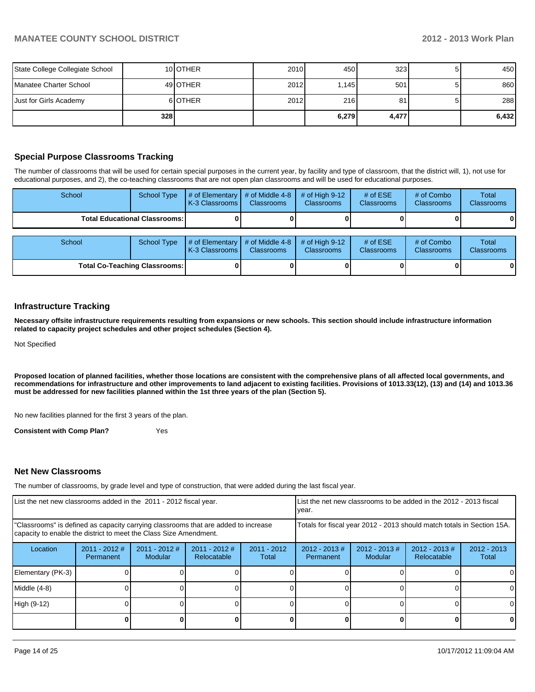| State College Collegiate School |       | 10 <b>IOTHER</b> | 2010 | 450   | 323   |   | 450   |
|---------------------------------|-------|------------------|------|-------|-------|---|-------|
| Manatee Charter School          |       | 49 <b>OTHER</b>  | 2012 | .145  | 501   |   | 860   |
| Just for Girls Academy          |       | 6 OTHER          | 2012 | 216   | 81    | 5 | 288   |
|                                 | 328 l |                  |      | 6,279 | 4,477 |   | 6,432 |

## **Special Purpose Classrooms Tracking**

The number of classrooms that will be used for certain special purposes in the current year, by facility and type of classroom, that the district will, 1), not use for educational purposes, and 2), the co-teaching classrooms that are not open plan classrooms and will be used for educational purposes.

| School | <b>School Type</b>                     | # of Elementary<br>K-3 Classrooms I | # of Middle 4-8<br><b>Classrooms</b> | # of High $9-12$<br><b>Classrooms</b> | # of $ESE$<br><b>Classrooms</b> | # of Combo<br><b>Classrooms</b> | Total<br><b>Classrooms</b> |
|--------|----------------------------------------|-------------------------------------|--------------------------------------|---------------------------------------|---------------------------------|---------------------------------|----------------------------|
|        | <b>Total Educational Classrooms: I</b> |                                     |                                      |                                       |                                 |                                 |                            |
| School | <b>School Type</b>                     | # of Elementary<br>K-3 Classrooms   | # of Middle 4-8<br><b>Classrooms</b> | # of High $9-12$<br>Classrooms        | # of $ESE$<br><b>Classrooms</b> | # of Combo<br><b>Classrooms</b> | Total<br><b>Classrooms</b> |
|        | <b>Total Co-Teaching Classrooms:</b>   |                                     |                                      |                                       |                                 |                                 | 01                         |

### **Infrastructure Tracking**

**Necessary offsite infrastructure requirements resulting from expansions or new schools. This section should include infrastructure information related to capacity project schedules and other project schedules (Section 4).**

Not Specified

**Proposed location of planned facilities, whether those locations are consistent with the comprehensive plans of all affected local governments, and recommendations for infrastructure and other improvements to land adjacent to existing facilities. Provisions of 1013.33(12), (13) and (14) and 1013.36 must be addressed for new facilities planned within the 1st three years of the plan (Section 5).**

No new facilities planned for the first 3 years of the plan.

**Consistent with Comp Plan?** Yes

### **Net New Classrooms**

The number of classrooms, by grade level and type of construction, that were added during the last fiscal year.

| List the net new classrooms added in the 2011 - 2012 fiscal year.                                                                                       |                              |                          | Ivear.                         |                        | List the net new classrooms to be added in the 2012 - 2013 fiscal      |                             |                                 |                        |
|---------------------------------------------------------------------------------------------------------------------------------------------------------|------------------------------|--------------------------|--------------------------------|------------------------|------------------------------------------------------------------------|-----------------------------|---------------------------------|------------------------|
| "Classrooms" is defined as capacity carrying classrooms that are added to increase<br>capacity to enable the district to meet the Class Size Amendment. |                              |                          |                                |                        | Totals for fiscal year 2012 - 2013 should match totals in Section 15A. |                             |                                 |                        |
| Location                                                                                                                                                | $2011 - 2012$ #<br>Permanent | 2011 - 2012 #<br>Modular | $2011 - 2012$ #<br>Relocatable | $2011 - 2012$<br>Total | $2012 - 2013$ #<br>Permanent                                           | $2012 - 2013 \#$<br>Modular | $2012 - 2013 \#$<br>Relocatable | $2012 - 2013$<br>Total |
| Elementary (PK-3)                                                                                                                                       |                              |                          |                                |                        |                                                                        |                             |                                 | $\Omega$               |
| Middle (4-8)                                                                                                                                            |                              |                          |                                |                        |                                                                        |                             |                                 | $\Omega$               |
| High (9-12)                                                                                                                                             |                              |                          |                                |                        |                                                                        |                             |                                 | 0                      |
|                                                                                                                                                         |                              |                          |                                |                        |                                                                        |                             |                                 | 0                      |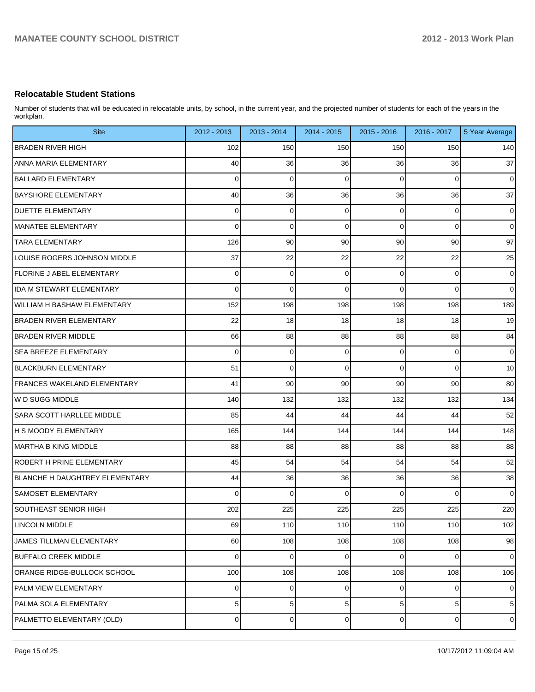## **Relocatable Student Stations**

Number of students that will be educated in relocatable units, by school, in the current year, and the projected number of students for each of the years in the workplan.

| <b>Site</b>                        | 2012 - 2013    | 2013 - 2014    | 2014 - 2015 | 2015 - 2016    | 2016 - 2017    | 5 Year Average |
|------------------------------------|----------------|----------------|-------------|----------------|----------------|----------------|
| <b>BRADEN RIVER HIGH</b>           | 102            | 150            | 150         | 150            | 150            | 140            |
| <b>ANNA MARIA ELEMENTARY</b>       | 40             | 36             | 36          | 36             | 36             | 37             |
| <b>BALLARD ELEMENTARY</b>          | $\mathbf 0$    | $\mathbf 0$    | $\mathbf 0$ | $\Omega$       | $\mathbf 0$    | $\mathbf 0$    |
| <b>BAYSHORE ELEMENTARY</b>         | 40             | 36             | 36          | 36             | 36             | 37             |
| <b>DUETTE ELEMENTARY</b>           | $\Omega$       | 0              | 0           | 0              | 0              | $\mathbf 0$    |
| <b>MANATEE ELEMENTARY</b>          | $\Omega$       | 0              | $\mathbf 0$ | $\Omega$       | $\mathbf 0$    | $\mathbf 0$    |
| <b>TARA ELEMENTARY</b>             | 126            | 90             | 90          | 90             | 90             | 97             |
| LOUISE ROGERS JOHNSON MIDDLE       | 37             | 22             | 22          | 22             | 22             | 25             |
| FLORINE J ABEL ELEMENTARY          | $\Omega$       | 0              | $\mathbf 0$ | 0              | 0              | $\mathbf 0$    |
| <b>IDA M STEWART ELEMENTARY</b>    | $\Omega$       | $\mathbf 0$    | $\Omega$    | $\Omega$       | $\mathbf 0$    | $\overline{0}$ |
| <b>WILLIAM H BASHAW ELEMENTARY</b> | 152            | 198            | 198         | 198            | 198            | 189            |
| BRADEN RIVER ELEMENTARY            | 22             | 18             | 18          | 18             | 18             | 19             |
| <b>BRADEN RIVER MIDDLE</b>         | 66             | 88             | 88          | 88             | 88             | 84             |
| <b>SEA BREEZE ELEMENTARY</b>       | $\mathbf 0$    | 0              | 0           | 0              | 0              | $\mathbf 0$    |
| <b>BLACKBURN ELEMENTARY</b>        | 51             | $\mathbf 0$    | $\Omega$    | $\Omega$       | $\mathbf 0$    | 10             |
| FRANCES WAKELAND ELEMENTARY        | 41             | 90             | 90          | 90             | 90             | 80             |
| lw D SUGG MIDDLE                   | 140            | 132            | 132         | 132            | 132            | 134            |
| <b>SARA SCOTT HARLLEE MIDDLE</b>   | 85             | 44             | 44          | 44             | 44             | 52             |
| <b>H S MOODY ELEMENTARY</b>        | 165            | 144            | 144         | 144            | 144            | 148            |
| IMARTHA B KING MIDDLE              | 88             | 88             | 88          | 88             | 88             | 88             |
| <b>ROBERT H PRINE ELEMENTARY</b>   | 45             | 54             | 54          | 54             | 54             | 52             |
| BLANCHE H DAUGHTREY ELEMENTARY     | 44             | 36             | 36          | 36             | 36             | 38             |
| <b>SAMOSET ELEMENTARY</b>          | $\Omega$       | $\Omega$       | $\Omega$    | $\Omega$       | $\Omega$       | $\mathbf 0$    |
| <b>SOUTHEAST SENIOR HIGH</b>       | 202            | 225            | 225         | 225            | 225            | 220            |
| <b>LINCOLN MIDDLE</b>              | 69             | 110            | 110         | 110            | 110            | 102            |
| JAMES TILLMAN ELEMENTARY           | 60             | 108            | 108         | 108            | 108            | 98             |
| <b>BUFFALO CREEK MIDDLE</b>        | $\Omega$       | $\pmb{0}$      | $\Omega$    | $\Omega$       | $\overline{0}$ | $\pmb{0}$      |
| ORANGE RIDGE-BULLOCK SCHOOL        | 100            | 108            | 108         | 108            | 108            | 106            |
| PALM VIEW ELEMENTARY               | $\Omega$       | 0              | $\mathbf 0$ | $\overline{0}$ | $\overline{0}$ | $\pmb{0}$      |
| PALMA SOLA ELEMENTARY              | 5 <sub>5</sub> | 5 <sup>1</sup> | 5           | 5 <sup>1</sup> | $\sqrt{5}$     | $\sqrt{5}$     |
| PALMETTO ELEMENTARY (OLD)          | $\Omega$       | $\overline{0}$ | $\mathbf 0$ | $\overline{0}$ | $\overline{0}$ | $\pmb{0}$      |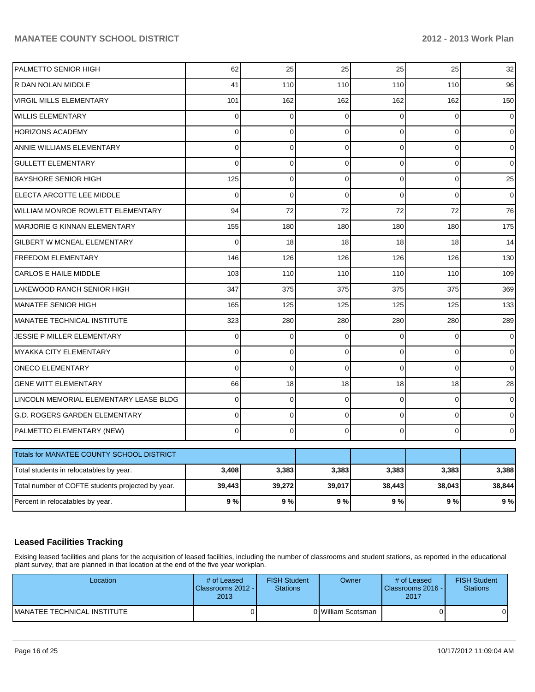## **MANATEE COUNTY SCHOOL DISTRICT 2012 - 2013 Work Plan**

| PALMETTO SENIOR HIGH                              | 62             | 25          | 25          | 25             | 25           | 32             |
|---------------------------------------------------|----------------|-------------|-------------|----------------|--------------|----------------|
| R DAN NOLAN MIDDLE                                | 41             | 110         | 110         | 110            | 110          | 96             |
| <b>VIRGIL MILLS ELEMENTARY</b>                    | 101            | 162         | 162         | 162            | 162          | 150            |
| <b>WILLIS ELEMENTARY</b>                          | 0              | $\mathbf 0$ | $\mathbf 0$ | $\Omega$       | $\mathbf 0$  | $\mathbf 0$    |
| HORIZONS ACADEMY                                  | 0              | $\mathbf 0$ | 0           | $\Omega$       | $\mathbf 0$  | 0              |
| ANNIE WILLIAMS ELEMENTARY                         | $\Omega$       | $\mathbf 0$ | $\mathbf 0$ | $\Omega$       | $\mathbf{0}$ | $\overline{0}$ |
| <b>GULLETT ELEMENTARY</b>                         | $\overline{0}$ | $\mathbf 0$ | $\mathbf 0$ | $\overline{0}$ | $\mathbf 0$  | $\mathbf 0$    |
| <b>BAYSHORE SENIOR HIGH</b>                       | 125            | $\mathbf 0$ | 0           | 0              | $\mathbf 0$  | 25             |
| ELECTA ARCOTTE LEE MIDDLE                         | $\overline{0}$ | $\mathbf 0$ | $\mathbf 0$ | $\Omega$       | $\Omega$     | $\mathbf 0$    |
| <b>WILLIAM MONROE ROWLETT ELEMENTARY</b>          | 94             | 72          | 72          | 72             | 72           | 76             |
| MARJORIE G KINNAN ELEMENTARY                      | 155            | 180         | 180         | 180            | 180          | 175            |
| <b>GILBERT W MCNEAL ELEMENTARY</b>                | $\overline{0}$ | 18          | 18          | 18             | 18           | 14             |
| <b>FREEDOM ELEMENTARY</b>                         | 146            | 126         | 126         | 126            | 126          | 130            |
| <b>CARLOS E HAILE MIDDLE</b>                      | 103            | 110         | 110         | 110            | 110          | 109            |
| LAKEWOOD RANCH SENIOR HIGH                        | 347            | 375         | 375         | 375            | 375          | 369            |
| <b>MANATEE SENIOR HIGH</b>                        | 165            | 125         | 125         | 125            | 125          | 133            |
| MANATEE TECHNICAL INSTITUTE                       | 323            | 280         | 280         | 280            | 280          | 289            |
| JESSIE P MILLER ELEMENTARY                        | 0              | $\mathbf 0$ | $\mathbf 0$ | $\Omega$       | $\Omega$     | $\mathbf 0$    |
| MYAKKA CITY ELEMENTARY                            | $\Omega$       | $\mathbf 0$ | $\mathbf 0$ | $\Omega$       | $\Omega$     | $\overline{0}$ |
| <b>ONECO ELEMENTARY</b>                           | $\overline{0}$ | $\mathbf 0$ | $\mathbf 0$ | $\Omega$       | $\Omega$     | 0              |
| <b>GENE WITT ELEMENTARY</b>                       | 66             | 18          | 18          | 18             | 18           | 28             |
| LINCOLN MEMORIAL ELEMENTARY LEASE BLDG            | $\Omega$       | $\mathbf 0$ | $\mathbf 0$ | $\Omega$       | $\mathbf 0$  | $\mathbf 0$    |
| G.D. ROGERS GARDEN ELEMENTARY                     | $\Omega$       | $\mathbf 0$ | $\mathbf 0$ | $\Omega$       | $\mathbf 0$  | $\mathbf 0$    |
| PALMETTO ELEMENTARY (NEW)                         | $\Omega$       | $\mathbf 0$ | 0           | $\Omega$       | $\mathbf 0$  | $\overline{0}$ |
| Totals for MANATEE COUNTY SCHOOL DISTRICT         |                |             |             |                |              |                |
| Total students in relocatables by year.           | 3,408          | 3,383       | 3,383       | 3,383          | 3,383        | 3,388          |
| Total number of COFTE students projected by year. | 39,443         | 39,272      | 39,017      | 38,443         | 38,043       | 38,844         |
| Percent in relocatables by year.                  | 9%             | 9%          | 9%          | 9%             | 9%           | 9%             |

## **Leased Facilities Tracking**

Exising leased facilities and plans for the acquisition of leased facilities, including the number of classrooms and student stations, as reported in the educational plant survey, that are planned in that location at the end of the five year workplan.

| Location                    | # of Leased<br>Classrooms 2012 -<br>2013 | <b>FISH Student</b><br><b>Stations</b> | <b>Owner</b>       | # of Leased<br>Classrooms 2016 -<br>2017 | <b>FISH Student</b><br><b>Stations</b> |
|-----------------------------|------------------------------------------|----------------------------------------|--------------------|------------------------------------------|----------------------------------------|
| MANATEE TECHNICAL INSTITUTE |                                          |                                        | 0 William Scotsman |                                          |                                        |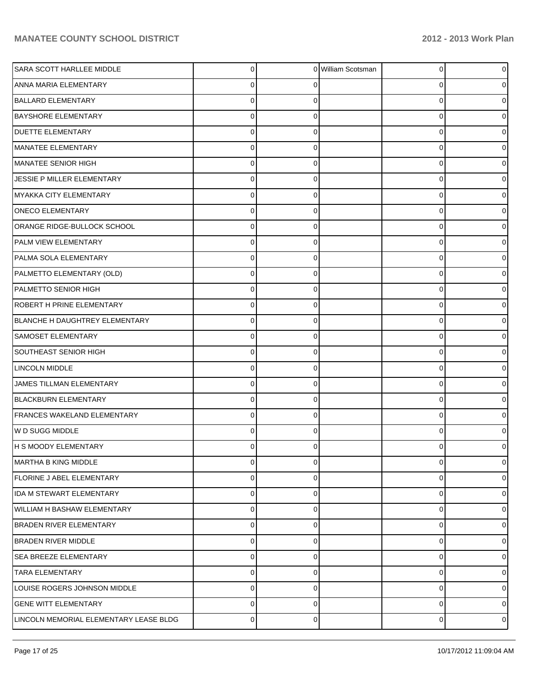| SARA SCOTT HARLLEE MIDDLE              | 0              | $\Omega$ | William Scotsman | 0 | 0              |
|----------------------------------------|----------------|----------|------------------|---|----------------|
| ANNA MARIA ELEMENTARY                  | 0              | 0        |                  | 0 | 0              |
| <b>BALLARD ELEMENTARY</b>              | $\Omega$       |          |                  | 0 | 0              |
| <b>BAYSHORE ELEMENTARY</b>             | $\Omega$       | 0        |                  | 0 | 0              |
| <b>DUETTE ELEMENTARY</b>               | $\Omega$       | 0        |                  | 0 | 0              |
| MANATEE ELEMENTARY                     | $\Omega$       | 0        |                  | 0 | 0              |
| MANATEE SENIOR HIGH                    | $\Omega$       | 0        |                  | 0 | 0              |
| JESSIE P MILLER ELEMENTARY             | 0              | 0        |                  | 0 | 0              |
| MYAKKA CITY ELEMENTARY                 | 0              | 0        |                  | 0 | 0              |
| <b>ONECO ELEMENTARY</b>                | $\Omega$       | 0        |                  | 0 | 0              |
| ORANGE RIDGE-BULLOCK SCHOOL            | $\Omega$       | 0        |                  | 0 | 0              |
| PALM VIEW ELEMENTARY                   | $\Omega$       | 0        |                  | 0 | 0              |
| PALMA SOLA ELEMENTARY                  | 0              | 0        |                  | 0 | 0              |
| PALMETTO ELEMENTARY (OLD)              | 0              | 0        |                  | 0 | 0              |
| PALMETTO SENIOR HIGH                   | $\Omega$       | 0        |                  | 0 | 0              |
| ROBERT H PRINE ELEMENTARY              | 0              | 0        |                  | 0 | 0              |
| BLANCHE H DAUGHTREY ELEMENTARY         | 0              | 0        |                  | 0 | 0              |
| SAMOSET ELEMENTARY                     | 0              | 0        |                  | 0 | 0              |
| SOUTHEAST SENIOR HIGH                  | 0              | 0        |                  | 0 | 0              |
| <b>LINCOLN MIDDLE</b>                  | 0              | 0        |                  | 0 | 0              |
| JAMES TILLMAN ELEMENTARY               | $\Omega$       | 0        |                  | 0 | 0              |
| <b>BLACKBURN ELEMENTARY</b>            | 0              | 0        |                  | 0 | 0              |
| FRANCES WAKELAND ELEMENTARY            | 0              | 0        |                  | 0 | 0              |
| W D SUGG MIDDLE                        | 0              | 0        |                  | 0 | 0              |
| H S MOODY ELEMENTARY                   | U              |          |                  | U | 0              |
| <b>MARTHA B KING MIDDLE</b>            | 0              | 0        |                  | 0 | $\overline{0}$ |
| <b>FLORINE J ABEL ELEMENTARY</b>       | 0              | 0        |                  | 0 | $\overline{0}$ |
| IDA M STEWART ELEMENTARY               | 0              | 0        |                  | 0 | $\overline{0}$ |
| <b>WILLIAM H BASHAW ELEMENTARY</b>     | 0              | 0        |                  | 0 | 0              |
| <b>BRADEN RIVER ELEMENTARY</b>         | 0              | 0        |                  | 0 | $\overline{0}$ |
| <b>BRADEN RIVER MIDDLE</b>             | 0              | 0        |                  | 0 | 0              |
| <b>SEA BREEZE ELEMENTARY</b>           | 0              | 0        |                  | 0 | $\overline{0}$ |
| <b>TARA ELEMENTARY</b>                 | 0              | 0        |                  | 0 | 01             |
| LOUISE ROGERS JOHNSON MIDDLE           | 0              | 0        |                  | 0 | $\overline{0}$ |
| <b>GENE WITT ELEMENTARY</b>            | $\mathbf 0$    | 0        |                  | 0 | $\overline{0}$ |
| LINCOLN MEMORIAL ELEMENTARY LEASE BLDG | $\overline{0}$ | 0        |                  | 0 | $\circ$        |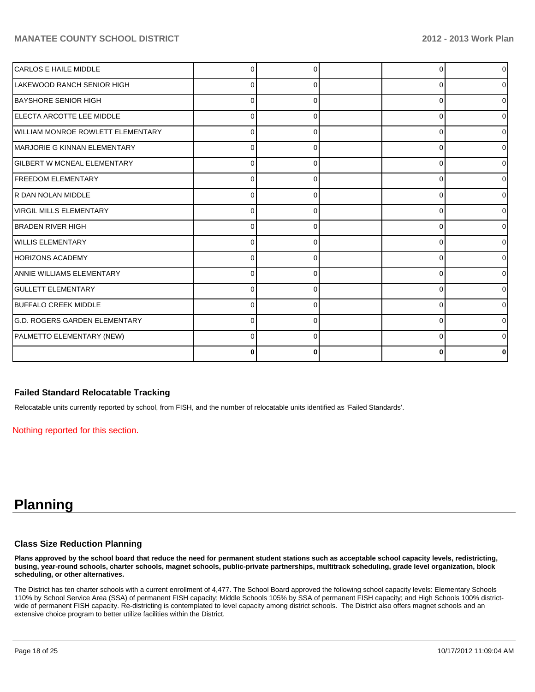## **MANATEE COUNTY SCHOOL DISTRICT 2012 - 2013 Work Plan**

| <b>CARLOS E HAILE MIDDLE</b>             |          |   |          | $\overline{0}$ |
|------------------------------------------|----------|---|----------|----------------|
| LAKEWOOD RANCH SENIOR HIGH               | U        |   | C        | $\overline{0}$ |
| <b>BAYSHORE SENIOR HIGH</b>              | 0        |   | ŋ        | $\overline{0}$ |
| ELECTA ARCOTTE LEE MIDDLE                | U        |   | C        | $\overline{0}$ |
| <b>WILLIAM MONROE ROWLETT ELEMENTARY</b> | ŋ        |   | C        | $\overline{0}$ |
| <b>IMARJORIE G KINNAN ELEMENTARY</b>     | U        |   | ∩        | $\overline{0}$ |
| <b>GILBERT W MCNEAL ELEMENTARY</b>       | $\Omega$ |   | $\Omega$ | $\overline{0}$ |
| <b>FREEDOM ELEMENTARY</b>                | U        |   | C        | $\overline{0}$ |
| R DAN NOLAN MIDDLE                       | $\Omega$ |   | C        | $\overline{0}$ |
| <b>VIRGIL MILLS ELEMENTARY</b>           | 0        |   |          | $\overline{0}$ |
| <b>BRADEN RIVER HIGH</b>                 | 0        |   | C        | $\overline{0}$ |
| <b>WILLIS ELEMENTARY</b>                 | 0        |   | C        | $\overline{0}$ |
| <b>HORIZONS ACADEMY</b>                  | O        |   | C        | $\overline{0}$ |
| ANNIE WILLIAMS ELEMENTARY                | $\Omega$ |   | $\Omega$ | $\overline{0}$ |
| <b>GULLETT ELEMENTARY</b>                | U        |   | ∩        | $\Omega$       |
| <b>BUFFALO CREEK MIDDLE</b>              | U        |   | ∩        | $\overline{0}$ |
| <b>G.D. ROGERS GARDEN ELEMENTARY</b>     | U        |   | C        | $\Omega$       |
| PALMETTO ELEMENTARY (NEW)                | 0        | ∩ | ∩        | $\overline{0}$ |
|                                          | 0        |   |          | 0              |

### **Failed Standard Relocatable Tracking**

Relocatable units currently reported by school, from FISH, and the number of relocatable units identified as 'Failed Standards'.

Nothing reported for this section.

# **Planning**

### **Class Size Reduction Planning**

**Plans approved by the school board that reduce the need for permanent student stations such as acceptable school capacity levels, redistricting, busing, year-round schools, charter schools, magnet schools, public-private partnerships, multitrack scheduling, grade level organization, block scheduling, or other alternatives.**

The District has ten charter schools with a current enrollment of 4,477. The School Board approved the following school capacity levels: Elementary Schools 110% by School Service Area (SSA) of permanent FISH capacity; Middle Schools 105% by SSA of permanent FISH capacity; and High Schools 100% districtwide of permanent FISH capacity. Re-districting is contemplated to level capacity among district schools. The District also offers magnet schools and an extensive choice program to better utilize facilities within the District.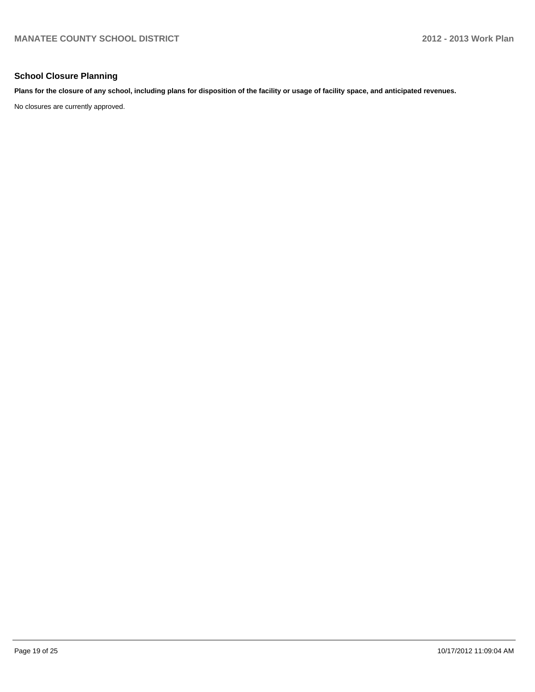### **School Closure Planning**

**Plans for the closure of any school, including plans for disposition of the facility or usage of facility space, and anticipated revenues.**

No closures are currently approved.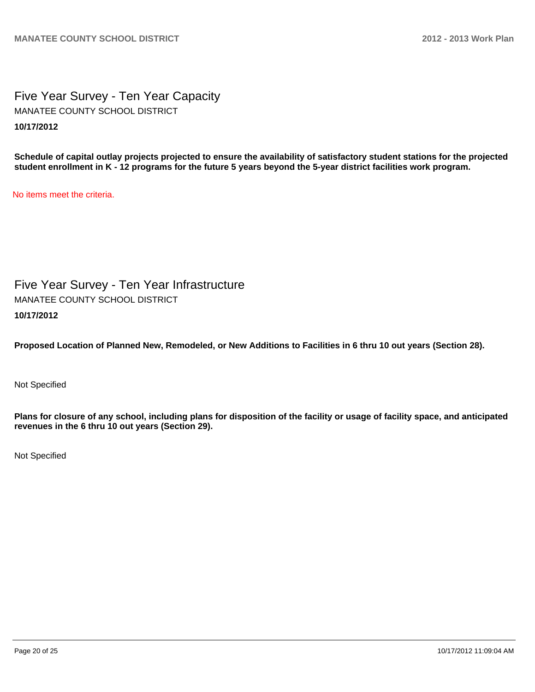Five Year Survey - Ten Year Capacity **10/17/2012** MANATEE COUNTY SCHOOL DISTRICT

**Schedule of capital outlay projects projected to ensure the availability of satisfactory student stations for the projected student enrollment in K - 12 programs for the future 5 years beyond the 5-year district facilities work program.**

No items meet the criteria.

Five Year Survey - Ten Year Infrastructure **10/17/2012** MANATEE COUNTY SCHOOL DISTRICT

**Proposed Location of Planned New, Remodeled, or New Additions to Facilities in 6 thru 10 out years (Section 28).**

Not Specified

**Plans for closure of any school, including plans for disposition of the facility or usage of facility space, and anticipated revenues in the 6 thru 10 out years (Section 29).**

Not Specified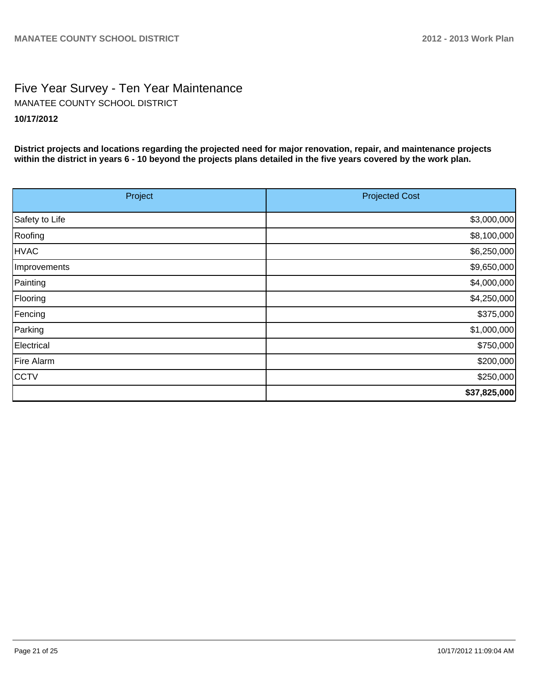# Five Year Survey - Ten Year Maintenance **10/17/2012** MANATEE COUNTY SCHOOL DISTRICT

**District projects and locations regarding the projected need for major renovation, repair, and maintenance projects within the district in years 6 - 10 beyond the projects plans detailed in the five years covered by the work plan.**

| Project        | <b>Projected Cost</b> |
|----------------|-----------------------|
| Safety to Life | \$3,000,000           |
| Roofing        | \$8,100,000           |
| <b>HVAC</b>    | \$6,250,000           |
| Improvements   | \$9,650,000           |
| Painting       | \$4,000,000           |
| Flooring       | \$4,250,000           |
| Fencing        | \$375,000             |
| Parking        | \$1,000,000           |
| Electrical     | \$750,000             |
| Fire Alarm     | \$200,000             |
| <b>CCTV</b>    | \$250,000             |
|                | \$37,825,000          |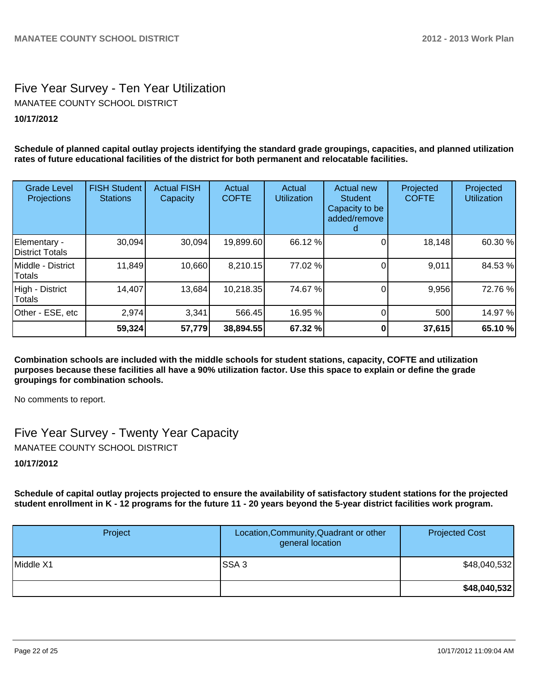## Five Year Survey - Ten Year Utilization **10/17/2012** MANATEE COUNTY SCHOOL DISTRICT

**Schedule of planned capital outlay projects identifying the standard grade groupings, capacities, and planned utilization rates of future educational facilities of the district for both permanent and relocatable facilities.**

| <b>Grade Level</b><br>Projections | <b>FISH Student</b><br><b>Stations</b> | <b>Actual FISH</b><br>Capacity | Actual<br><b>COFTE</b> | Actual<br><b>Utilization</b> | <b>Actual new</b><br>Student<br>Capacity to be<br>added/remove | Projected<br><b>COFTE</b> | Projected<br><b>Utilization</b> |
|-----------------------------------|----------------------------------------|--------------------------------|------------------------|------------------------------|----------------------------------------------------------------|---------------------------|---------------------------------|
| Elementary -<br>District Totals   | 30,094                                 | 30,094                         | 19,899.60              | 66.12 %                      |                                                                | 18,148                    | 60.30 %                         |
| IMiddle - District<br>Totals      | 11,849                                 | 10,660                         | 8,210.15               | 77.02 %                      |                                                                | 9,011                     | 84.53%                          |
| High - District<br>Totals         | 14,407                                 | 13,684                         | 10,218.35              | 74.67 %                      |                                                                | 9,956                     | 72.76 %                         |
| Other - ESE, etc                  | 2,974                                  | 3,341                          | 566.45                 | 16.95 %                      |                                                                | 500                       | 14.97 %                         |
|                                   | 59,324                                 | 57,779                         | 38,894.55              | 67.32 %                      |                                                                | 37,615                    | 65.10 %                         |

**Combination schools are included with the middle schools for student stations, capacity, COFTE and utilization purposes because these facilities all have a 90% utilization factor. Use this space to explain or define the grade groupings for combination schools.**

No comments to report.

Five Year Survey - Twenty Year Capacity MANATEE COUNTY SCHOOL DISTRICT

## **10/17/2012**

**Schedule of capital outlay projects projected to ensure the availability of satisfactory student stations for the projected student enrollment in K - 12 programs for the future 11 - 20 years beyond the 5-year district facilities work program.**

| Project   | Location, Community, Quadrant or other<br>general location | <b>Projected Cost</b> |
|-----------|------------------------------------------------------------|-----------------------|
| Middle X1 | ISSA 3                                                     | \$48,040,532]         |
|           |                                                            | \$48,040,532          |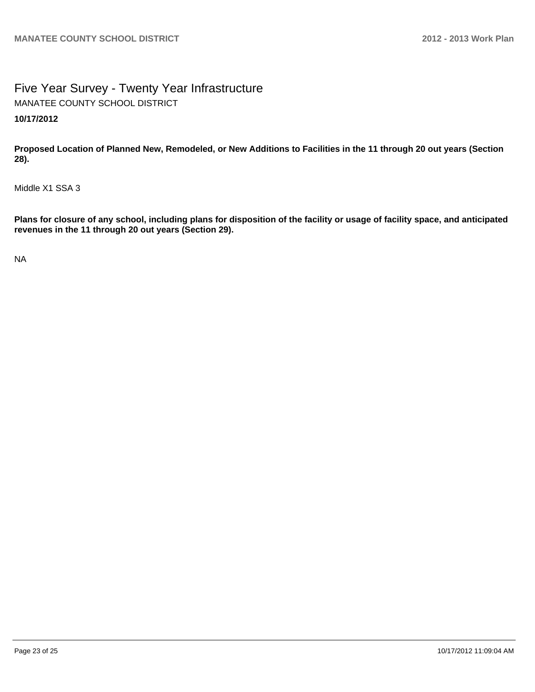Five Year Survey - Twenty Year Infrastructure **10/17/2012** MANATEE COUNTY SCHOOL DISTRICT

**Proposed Location of Planned New, Remodeled, or New Additions to Facilities in the 11 through 20 out years (Section 28).**

Middle X1 SSA 3

**Plans for closure of any school, including plans for disposition of the facility or usage of facility space, and anticipated revenues in the 11 through 20 out years (Section 29).**

NA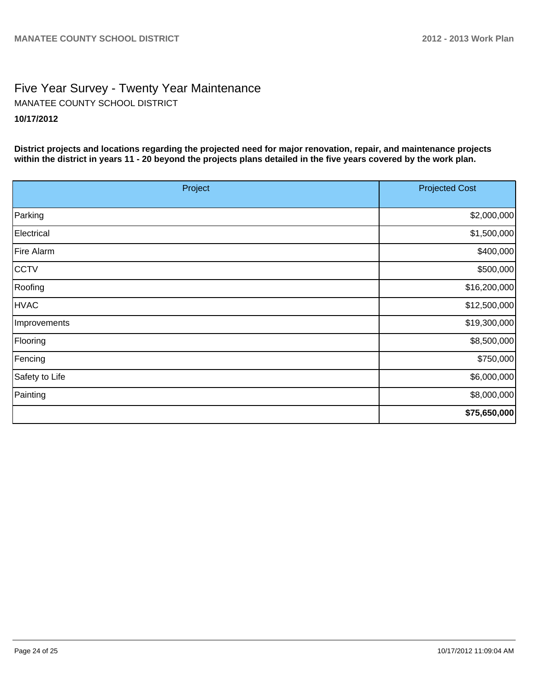# Five Year Survey - Twenty Year Maintenance **10/17/2012** MANATEE COUNTY SCHOOL DISTRICT

**District projects and locations regarding the projected need for major renovation, repair, and maintenance projects within the district in years 11 - 20 beyond the projects plans detailed in the five years covered by the work plan.**

| Project        | <b>Projected Cost</b> |
|----------------|-----------------------|
| Parking        | \$2,000,000           |
| Electrical     | \$1,500,000           |
| Fire Alarm     | \$400,000             |
| CCTV           | \$500,000             |
| Roofing        | \$16,200,000          |
| <b>HVAC</b>    | \$12,500,000          |
| Improvements   | \$19,300,000          |
| Flooring       | \$8,500,000           |
| Fencing        | \$750,000             |
| Safety to Life | \$6,000,000           |
| Painting       | \$8,000,000           |
|                | \$75,650,000          |